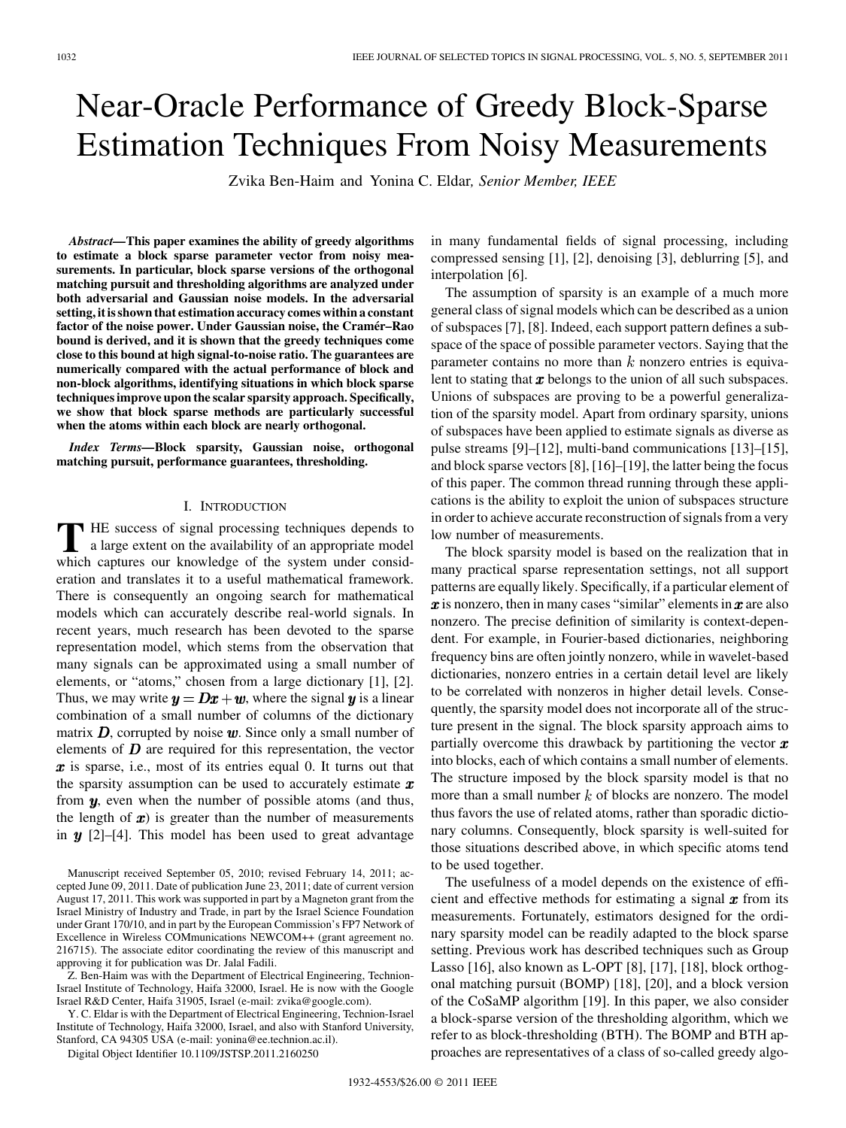# Near-Oracle Performance of Greedy Block-Sparse Estimation Techniques From Noisy Measurements

Zvika Ben-Haim and Yonina C. Eldar*, Senior Member, IEEE*

*Abstract—***This paper examines the ability of greedy algorithms to estimate a block sparse parameter vector from noisy measurements. In particular, block sparse versions of the orthogonal matching pursuit and thresholding algorithms are analyzed under both adversarial and Gaussian noise models. In the adversarial setting, it is shown that estimation accuracy comes within a constant factor of the noise power. Under Gaussian noise, the Cramér–Rao bound is derived, and it is shown that the greedy techniques come close to this bound at high signal-to-noise ratio. The guarantees are numerically compared with the actual performance of block and non-block algorithms, identifying situations in which block sparse techniques improve upon the scalar sparsity approach. Specifically, we show that block sparse methods are particularly successful when the atoms within each block are nearly orthogonal.**

*Index Terms—***Block sparsity, Gaussian noise, orthogonal matching pursuit, performance guarantees, thresholding.**

#### I. INTRODUCTION

**T** HE success of signal processing techniques depends to a large extent on the availability of an appropriate model which captures our knowledge of the system under consideration and translates it to a useful mathematical framework. There is consequently an ongoing search for mathematical models which can accurately describe real-world signals. In recent years, much research has been devoted to the sparse representation model, which stems from the observation that many signals can be approximated using a small number of elements, or "atoms," chosen from a large dictionary [1], [2]. Thus, we may write  $y = Dx + w$ , where the signal y is a linear combination of a small number of columns of the dictionary matrix **D**, corrupted by noise  $w$ . Since only a small number of elements of  $\bm{D}$  are required for this representation, the vector  $x$  is sparse, i.e., most of its entries equal 0. It turns out that the sparsity assumption can be used to accurately estimate  $x$ from  $y$ , even when the number of possible atoms (and thus, the length of  $\boldsymbol{x}$ ) is greater than the number of measurements in  $\mathbf{y}$  [2]–[4]. This model has been used to great advantage

Z. Ben-Haim was with the Department of Electrical Engineering, Technion-Israel Institute of Technology, Haifa 32000, Israel. He is now with the Google Israel R&D Center, Haifa 31905, Israel (e-mail: zvika@google.com).

Y. C. Eldar is with the Department of Electrical Engineering, Technion-Israel Institute of Technology, Haifa 32000, Israel, and also with Stanford University, Stanford, CA 94305 USA (e-mail: yonina@ee.technion.ac.il).

Digital Object Identifier 10.1109/JSTSP.2011.2160250

in many fundamental fields of signal processing, including compressed sensing [1], [2], denoising [3], deblurring [5], and interpolation [6].

The assumption of sparsity is an example of a much more general class of signal models which can be described as a union of subspaces [7], [8]. Indeed, each support pattern defines a subspace of the space of possible parameter vectors. Saying that the parameter contains no more than  $k$  nonzero entries is equivalent to stating that  $x$  belongs to the union of all such subspaces. Unions of subspaces are proving to be a powerful generalization of the sparsity model. Apart from ordinary sparsity, unions of subspaces have been applied to estimate signals as diverse as pulse streams [9]–[12], multi-band communications [13]–[15], and block sparse vectors [8], [16]–[19], the latter being the focus of this paper. The common thread running through these applications is the ability to exploit the union of subspaces structure in order to achieve accurate reconstruction of signals from a very low number of measurements.

The block sparsity model is based on the realization that in many practical sparse representation settings, not all support patterns are equally likely. Specifically, if a particular element of  $\boldsymbol{x}$  is nonzero, then in many cases "similar" elements in  $\boldsymbol{x}$  are also nonzero. The precise definition of similarity is context-dependent. For example, in Fourier-based dictionaries, neighboring frequency bins are often jointly nonzero, while in wavelet-based dictionaries, nonzero entries in a certain detail level are likely to be correlated with nonzeros in higher detail levels. Consequently, the sparsity model does not incorporate all of the structure present in the signal. The block sparsity approach aims to partially overcome this drawback by partitioning the vector  $\boldsymbol{x}$ into blocks, each of which contains a small number of elements. The structure imposed by the block sparsity model is that no more than a small number  $k$  of blocks are nonzero. The model thus favors the use of related atoms, rather than sporadic dictionary columns. Consequently, block sparsity is well-suited for those situations described above, in which specific atoms tend to be used together.

The usefulness of a model depends on the existence of efficient and effective methods for estimating a signal  $\boldsymbol{x}$  from its measurements. Fortunately, estimators designed for the ordinary sparsity model can be readily adapted to the block sparse setting. Previous work has described techniques such as Group Lasso [16], also known as L-OPT [8], [17], [18], block orthogonal matching pursuit (BOMP) [18], [20], and a block version of the CoSaMP algorithm [19]. In this paper, we also consider a block-sparse version of the thresholding algorithm, which we refer to as block-thresholding (BTH). The BOMP and BTH approaches are representatives of a class of so-called greedy algo-

Manuscript received September 05, 2010; revised February 14, 2011; accepted June 09, 2011. Date of publication June 23, 2011; date of current version August 17, 2011. This work was supported in part by a Magneton grant from the Israel Ministry of Industry and Trade, in part by the Israel Science Foundation under Grant 170/10, and in part by the European Commission's FP7 Network of Excellence in Wireless COMmunications NEWCOM++ (grant agreement no. 216715). The associate editor coordinating the review of this manuscript and approving it for publication was Dr. Jalal Fadili.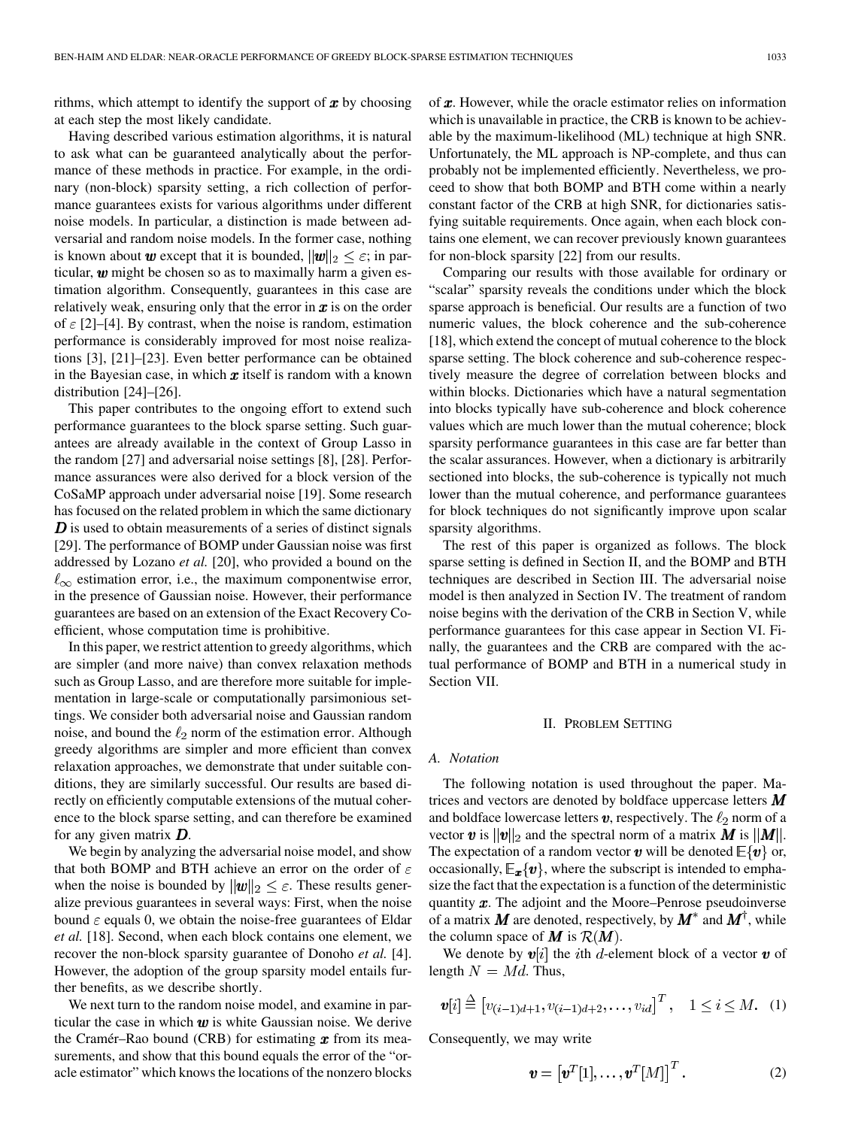rithms, which attempt to identify the support of  $\boldsymbol{x}$  by choosing at each step the most likely candidate.

Having described various estimation algorithms, it is natural to ask what can be guaranteed analytically about the performance of these methods in practice. For example, in the ordinary (non-block) sparsity setting, a rich collection of performance guarantees exists for various algorithms under different noise models. In particular, a distinction is made between adversarial and random noise models. In the former case, nothing is known about w except that it is bounded,  $\|\mathbf{w}\|_2 \leq \varepsilon$ ; in particular,  $w$  might be chosen so as to maximally harm a given estimation algorithm. Consequently, guarantees in this case are relatively weak, ensuring only that the error in  $\boldsymbol{x}$  is on the order of  $\varepsilon$  [2]–[4]. By contrast, when the noise is random, estimation performance is considerably improved for most noise realizations [3], [21]–[23]. Even better performance can be obtained in the Bayesian case, in which  $x$  itself is random with a known distribution [24]–[26].

This paper contributes to the ongoing effort to extend such performance guarantees to the block sparse setting. Such guarantees are already available in the context of Group Lasso in the random [27] and adversarial noise settings [8], [28]. Performance assurances were also derived for a block version of the CoSaMP approach under adversarial noise [19]. Some research has focused on the related problem in which the same dictionary  $\bm{D}$  is used to obtain measurements of a series of distinct signals [29]. The performance of BOMP under Gaussian noise was first addressed by Lozano *et al.* [20], who provided a bound on the  $\ell_{\infty}$  estimation error, i.e., the maximum componentwise error, in the presence of Gaussian noise. However, their performance guarantees are based on an extension of the Exact Recovery Coefficient, whose computation time is prohibitive.

In this paper, we restrict attention to greedy algorithms, which are simpler (and more naive) than convex relaxation methods such as Group Lasso, and are therefore more suitable for implementation in large-scale or computationally parsimonious settings. We consider both adversarial noise and Gaussian random noise, and bound the  $\ell_2$  norm of the estimation error. Although greedy algorithms are simpler and more efficient than convex relaxation approaches, we demonstrate that under suitable conditions, they are similarly successful. Our results are based directly on efficiently computable extensions of the mutual coherence to the block sparse setting, and can therefore be examined for any given matrix  $\bm{D}$ .

We begin by analyzing the adversarial noise model, and show that both BOMP and BTH achieve an error on the order of  $\varepsilon$ when the noise is bounded by  $||w||_2 \leq \varepsilon$ . These results generalize previous guarantees in several ways: First, when the noise bound  $\varepsilon$  equals 0, we obtain the noise-free guarantees of Eldar *et al.* [18]. Second, when each block contains one element, we recover the non-block sparsity guarantee of Donoho *et al.* [4]. However, the adoption of the group sparsity model entails further benefits, as we describe shortly.

We next turn to the random noise model, and examine in particular the case in which  $w$  is white Gaussian noise. We derive the Cramér–Rao bound (CRB) for estimating  $\boldsymbol{x}$  from its measurements, and show that this bound equals the error of the "oracle estimator" which knows the locations of the nonzero blocks of  $x$ . However, while the oracle estimator relies on information which is unavailable in practice, the CRB is known to be achievable by the maximum-likelihood (ML) technique at high SNR. Unfortunately, the ML approach is NP-complete, and thus can probably not be implemented efficiently. Nevertheless, we proceed to show that both BOMP and BTH come within a nearly constant factor of the CRB at high SNR, for dictionaries satisfying suitable requirements. Once again, when each block contains one element, we can recover previously known guarantees for non-block sparsity [22] from our results.

Comparing our results with those available for ordinary or "scalar" sparsity reveals the conditions under which the block sparse approach is beneficial. Our results are a function of two numeric values, the block coherence and the sub-coherence [18], which extend the concept of mutual coherence to the block sparse setting. The block coherence and sub-coherence respectively measure the degree of correlation between blocks and within blocks. Dictionaries which have a natural segmentation into blocks typically have sub-coherence and block coherence values which are much lower than the mutual coherence; block sparsity performance guarantees in this case are far better than the scalar assurances. However, when a dictionary is arbitrarily sectioned into blocks, the sub-coherence is typically not much lower than the mutual coherence, and performance guarantees for block techniques do not significantly improve upon scalar sparsity algorithms.

The rest of this paper is organized as follows. The block sparse setting is defined in Section II, and the BOMP and BTH techniques are described in Section III. The adversarial noise model is then analyzed in Section IV. The treatment of random noise begins with the derivation of the CRB in Section V, while performance guarantees for this case appear in Section VI. Finally, the guarantees and the CRB are compared with the actual performance of BOMP and BTH in a numerical study in Section VII.

#### II. PROBLEM SETTING

#### *A. Notation*

The following notation is used throughout the paper. Matrices and vectors are denoted by boldface uppercase letters  $\boldsymbol{M}$ and boldface lowercase letters  $v$ , respectively. The  $\ell_2$  norm of a vector **v** is  $||v||_2$  and the spectral norm of a matrix **M** is  $||M||$ . The expectation of a random vector  $\boldsymbol{v}$  will be denoted  $\mathbb{E}\{\boldsymbol{v}\}$  or, occasionally,  $\mathbb{E}_{x}\{v\}$ , where the subscript is intended to emphasize the fact that the expectation is a function of the deterministic quantity  $x$ . The adjoint and the Moore–Penrose pseudoinverse of a matrix **M** are denoted, respectively, by  $M^*$  and  $M^{\dagger}$ , while the column space of M is  $\mathcal{R}(M)$ .

We denote by  $\mathbf{v}[i]$  the *i*th d-element block of a vector  $\mathbf{v}$  of length  $N = Md$ . Thus,

$$
\mathbf{v}[i] \stackrel{\Delta}{=} [v_{(i-1)d+1}, v_{(i-1)d+2}, \dots, v_{id}]^T, \quad 1 \le i \le M. \quad (1)
$$

Consequently, we may write

$$
\mathbf{v} = \left[\mathbf{v}^T[1], \dots, \mathbf{v}^T[M]\right]^T. \tag{2}
$$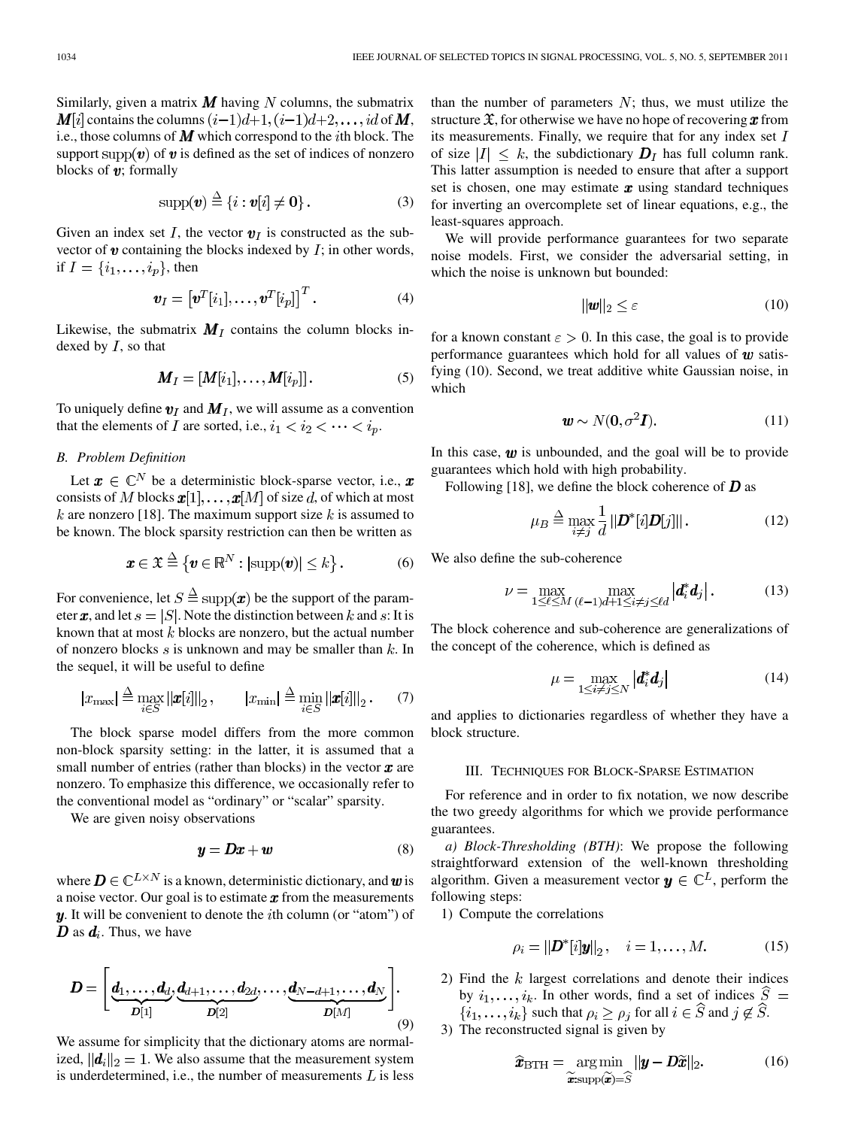Similarly, given a matrix  $M$  having N columns, the submatrix  $M[i]$  contains the columns  $(i-1)d+1$ ,  $(i-1)d+2$ , ...,  $id$  of  $M$ , i.e., those columns of  $M$  which correspond to the *i*th block. The support supp $(v)$  of v is defined as the set of indices of nonzero blocks of  $v$ ; formally

$$
supp(v) \stackrel{\Delta}{=} \{i : v[i] \neq 0\}.
$$
 (3)

Given an index set I, the vector  $v_I$  is constructed as the subvector of  $v$  containing the blocks indexed by  $I$ ; in other words, if  $I = \{i_1, \ldots, i_p\}$ , then

$$
\boldsymbol{v}_I = \left[\boldsymbol{v}^T[i_1], \dots, \boldsymbol{v}^T[i_p]\right]^T. \tag{4}
$$

Likewise, the submatrix  $M<sub>I</sub>$  contains the column blocks indexed by  $I$ , so that

$$
\boldsymbol{M}_I = [\boldsymbol{M}[i_1], \dots, \boldsymbol{M}[i_p]]. \tag{5}
$$

To uniquely define  $v_I$  and  $M_I$ , we will assume as a convention that the elements of *I* are sorted, i.e.,  $i_1 < i_2 < \cdots < i_p$ .

# *B. Problem Definition*

Let  $\boldsymbol{x} \in \mathbb{C}^N$  be a deterministic block-sparse vector, i.e.,  $\boldsymbol{x}$ consists of M blocks  $\boldsymbol{x}[1], \ldots, \boldsymbol{x}[M]$  of size d, of which at most k are nonzero [18]. The maximum support size k is assumed to be known. The block sparsity restriction can then be written as

$$
\boldsymbol{x} \in \mathfrak{X} \stackrel{\Delta}{=} \left\{ \boldsymbol{v} \in \mathbb{R}^N : |\text{supp}(\boldsymbol{v})| \leq k \right\}. \tag{6}
$$

For convenience, let  $S \stackrel{\Delta}{=} \text{supp}(\boldsymbol{x})$  be the support of the parameter x, and let  $s = |S|$ . Note the distinction between k and s: It is known that at most  $k$  blocks are nonzero, but the actual number of nonzero blocks  $s$  is unknown and may be smaller than  $k$ . In the sequel, it will be useful to define

$$
|x_{\max}| \stackrel{\Delta}{=} \max_{i \in S} ||\boldsymbol{x}[i]||_2, \qquad |x_{\min}| \stackrel{\Delta}{=} \min_{i \in S} ||\boldsymbol{x}[i]||_2. \tag{7}
$$

The block sparse model differs from the more common non-block sparsity setting: in the latter, it is assumed that a small number of entries (rather than blocks) in the vector  $\boldsymbol{x}$  are nonzero. To emphasize this difference, we occasionally refer to the conventional model as "ordinary" or "scalar" sparsity.

We are given noisy observations

$$
y = Dx + w \tag{8}
$$

where  $D \in \mathbb{C}^{L \times N}$  is a known, deterministic dictionary, and w is a noise vector. Our goal is to estimate  $\boldsymbol{x}$  from the measurements  $y$ . It will be convenient to denote the *i*th column (or "atom") of  $\boldsymbol{D}$  as  $\boldsymbol{d}_i$ . Thus, we have

$$
D=\Bigg[\underbrace{\boldsymbol{d}_1,\ldots,\boldsymbol{d}_d}_{\boldsymbol{D}[1]}\underbrace{\boldsymbol{d}_{d+1},\ldots,\boldsymbol{d}_{2d}}_{\boldsymbol{D}[2]},\ldots,\underbrace{\boldsymbol{d}_{N-d+1},\ldots,\boldsymbol{d}_N}_{\boldsymbol{D}[M]}\Bigg].\hspace{0.5cm}(9)
$$

We assume for simplicity that the dictionary atoms are normalized,  $||\mathbf{d}_i||_2 = 1$ . We also assume that the measurement system is underdetermined, i.e., the number of measurements  $L$  is less

than the number of parameters  $N$ ; thus, we must utilize the structure  $\mathfrak{X}$ , for otherwise we have no hope of recovering  $\boldsymbol{x}$  from its measurements. Finally, we require that for any index set  $I$ of size  $|I| \leq k$ , the subdictionary  $D_I$  has full column rank. This latter assumption is needed to ensure that after a support set is chosen, one may estimate  $x$  using standard techniques for inverting an overcomplete set of linear equations, e.g., the least-squares approach.

We will provide performance guarantees for two separate noise models. First, we consider the adversarial setting, in which the noise is unknown but bounded:

$$
\|\mathbf{w}\|_2 \le \varepsilon \tag{10}
$$

for a known constant  $\varepsilon > 0$ . In this case, the goal is to provide performance guarantees which hold for all values of  $w$  satisfying (10). Second, we treat additive white Gaussian noise, in which

$$
\mathbf{w} \sim N(\mathbf{0}, \sigma^2 \mathbf{I}).\tag{11}
$$

In this case,  $w$  is unbounded, and the goal will be to provide guarantees which hold with high probability.

Following [18], we define the block coherence of  $D$  as

$$
\mu_B \stackrel{\Delta}{=} \max_{i \neq j} \frac{1}{d} ||\boldsymbol{D}^*[i] \boldsymbol{D}[j]||. \tag{12}
$$

We also define the sub-coherence

$$
\nu = \max_{1 \leq \ell \leq M} \max_{(\ell-1)d+1 \leq i \neq j \leq \ell d} \left| \boldsymbol{d}_i^* \boldsymbol{d}_j \right|. \tag{13}
$$

The block coherence and sub-coherence are generalizations of the concept of the coherence, which is defined as

$$
\mu = \max_{1 \le i \ne j \le N} \left| \boldsymbol{d}_i^* \boldsymbol{d}_j \right| \tag{14}
$$

and applies to dictionaries regardless of whether they have a block structure.

## III. TECHNIQUES FOR BLOCK-SPARSE ESTIMATION

For reference and in order to fix notation, we now describe the two greedy algorithms for which we provide performance guarantees.

*a) Block-Thresholding (BTH)*: We propose the following straightforward extension of the well-known thresholding algorithm. Given a measurement vector  $y \in \mathbb{C}^{L}$ , perform the following steps:

1) Compute the correlations

$$
\rho_i = ||\bm{D}^*[i]\bm{y}||_2, \quad i = 1, \dots, M. \tag{15}
$$

2) Find the  $k$  largest correlations and denote their indices by  $i_1, \ldots, i_k$ . In other words, find a set of indices  $\widehat{S}$  = such that  $\rho_i \ge \rho_j$  for all  $i \in S$  and  $j \notin S$ .

3) The reconstructed signal is given by

$$
\hat{\boldsymbol{x}}_{\text{BTH}} = \underset{\widetilde{\boldsymbol{x}}:\text{supp}(\widetilde{\boldsymbol{x}})=\widehat{S}}{\arg \min} ||\boldsymbol{y} - \boldsymbol{D}\widetilde{\boldsymbol{x}}||_2. \tag{16}
$$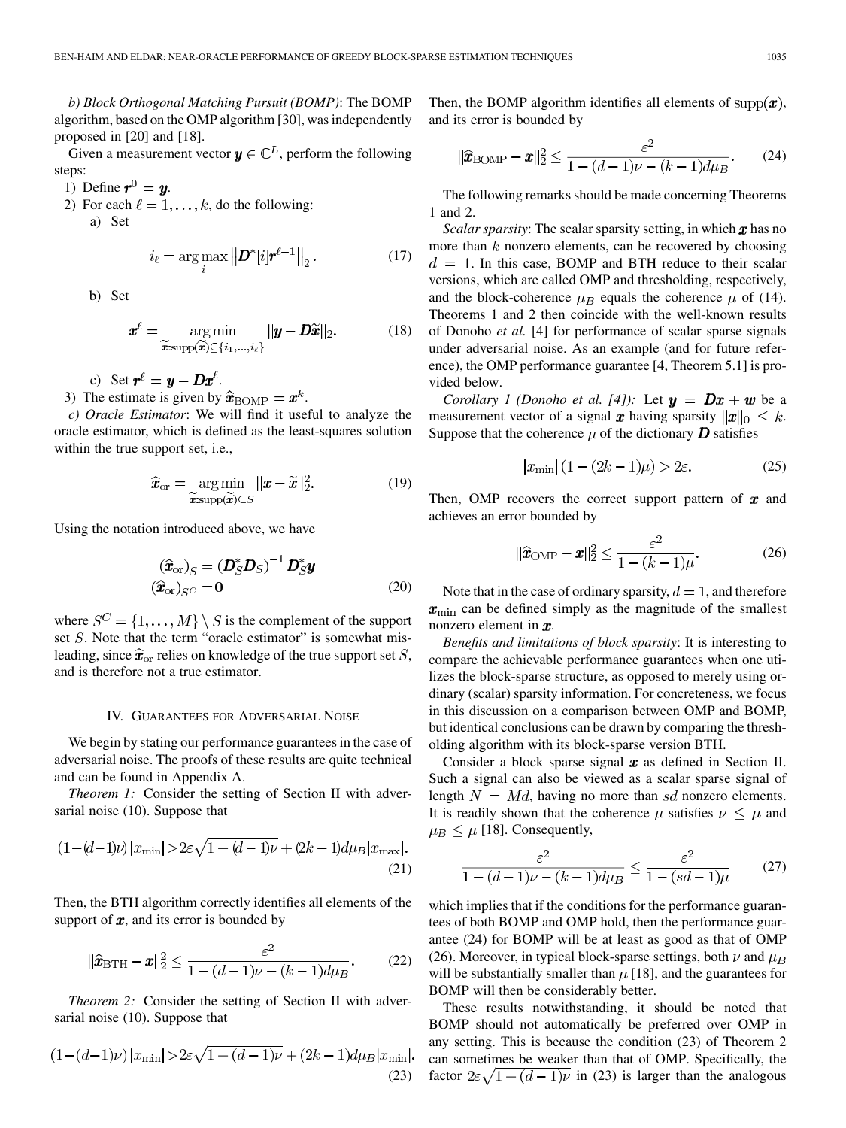*b) Block Orthogonal Matching Pursuit (BOMP)*: The BOMP algorithm, based on the OMP algorithm [30], was independently proposed in [20] and [18].

Given a measurement vector  $y \in \mathbb{C}^{L}$ , perform the following steps:

1) Define  $r^0 = y$ .

2) For each  $\ell = 1, \ldots, k$ , do the following: a) Set

$$
i_{\ell} = \arg\max_{i} \|D^*[i] r^{\ell-1} \|_2.
$$
 (17)

b) Set

$$
\boldsymbol{x}^{\ell} = \underset{\widetilde{\boldsymbol{x}}: \text{supp}(\widetilde{\boldsymbol{x}}) \subseteq \{i_1, \dots, i_{\ell}\}}{\arg \min} ||\boldsymbol{y} - \boldsymbol{D}\widetilde{\boldsymbol{x}}||_2. \tag{18}
$$

c) Set  $r^{\ell} = y - Dx^{\ell}$ .

3) The estimate is given by  $\hat{\mathbf{x}}_{\text{BOMP}} = \mathbf{x}^k$ .

*c) Oracle Estimator*: We will find it useful to analyze the oracle estimator, which is defined as the least-squares solution within the true support set, i.e.,

$$
\widehat{\boldsymbol{x}}_{\text{or}} = \underset{\widetilde{\boldsymbol{x}}: \text{supp}(\widetilde{\boldsymbol{x}}) \subseteq S}{\arg \min} ||\boldsymbol{x} - \widetilde{\boldsymbol{x}}||_2^2.
$$
 (19)

Using the notation introduced above, we have

$$
\begin{aligned} (\widehat{\boldsymbol{x}}_{\text{or}})_{S} &= \left(\boldsymbol{D}_{S}^{*} \boldsymbol{D}_{S}\right)^{-1} \boldsymbol{D}_{S}^{*} \boldsymbol{y} \\ (\widehat{\boldsymbol{x}}_{\text{or}})_{S^{C}} &= \boldsymbol{0} \end{aligned} \tag{20}
$$

where  $S^C = \{1, ..., M\} \setminus S$  is the complement of the support set  $S$ . Note that the term "oracle estimator" is somewhat misleading, since  $\hat{x}_{or}$  relies on knowledge of the true support set S, and is therefore not a true estimator.

#### IV. GUARANTEES FOR ADVERSARIAL NOISE

We begin by stating our performance guarantees in the case of adversarial noise. The proofs of these results are quite technical and can be found in Appendix A.

*Theorem 1:* Consider the setting of Section II with adversarial noise (10). Suppose that

$$
(1 - (d - 1)\nu) |x_{\min}| > 2\varepsilon\sqrt{1 + (d - 1)\nu} + (2k - 1)d\mu_B|x_{\max}|.
$$
\n(21)

Then, the BTH algorithm correctly identifies all elements of the support of  $\boldsymbol{x}$ , and its error is bounded by

$$
\|\hat{\boldsymbol{x}}_{\text{BTH}} - \boldsymbol{x}\|_2^2 \le \frac{\varepsilon^2}{1 - (d-1)\nu - (k-1)d\mu_B}.
$$
 (22)

*Theorem 2:* Consider the setting of Section II with adversarial noise (10). Suppose that

$$
(1 - (d - 1)\nu) |x_{\min}| > 2\varepsilon\sqrt{1 + (d - 1)\nu} + (2k - 1)d\mu_B |x_{\min}|.
$$
\n(23)

Then, the BOMP algorithm identifies all elements of supp $(x)$ , and its error is bounded by

$$
\|\hat{\mathbf{x}}_{\text{BOMP}} - \mathbf{x}\|_2^2 \le \frac{\varepsilon^2}{1 - (d-1)\nu - (k-1)d\mu_B}.
$$
 (24)

The following remarks should be made concerning Theorems 1 and 2.

*Scalar sparsity*: The scalar sparsity setting, in which  $x$  has no more than  $k$  nonzero elements, can be recovered by choosing  $d = 1$ . In this case, BOMP and BTH reduce to their scalar versions, which are called OMP and thresholding, respectively, and the block-coherence  $\mu_B$  equals the coherence  $\mu$  of (14). Theorems 1 and 2 then coincide with the well-known results of Donoho *et al.* [4] for performance of scalar sparse signals under adversarial noise. As an example (and for future reference), the OMP performance guarantee [4, Theorem 5.1] is provided below.

*Corollary 1 (Donoho et al. [4]):* Let  $y = Dx + w$  be a measurement vector of a signal x having sparsity  $||x||_0 \leq k$ . Suppose that the coherence  $\mu$  of the dictionary  $\bm{D}$  satisfies

$$
|x_{\min}| (1 - (2k - 1)\mu) > 2\varepsilon. \tag{25}
$$

Then, OMP recovers the correct support pattern of  $x$  and achieves an error bounded by

$$
\|\widehat{\mathbf{x}}_{\text{OMP}} - \mathbf{x}\|_2^2 \le \frac{\varepsilon^2}{1 - (k - 1)\mu}.\tag{26}
$$

Note that in the case of ordinary sparsity,  $d = 1$ , and therefore  $x_{\text{min}}$  can be defined simply as the magnitude of the smallest nonzero element in  $x$ .

*Benefits and limitations of block sparsity*: It is interesting to compare the achievable performance guarantees when one utilizes the block-sparse structure, as opposed to merely using ordinary (scalar) sparsity information. For concreteness, we focus in this discussion on a comparison between OMP and BOMP, but identical conclusions can be drawn by comparing the thresholding algorithm with its block-sparse version BTH.

Consider a block sparse signal  $x$  as defined in Section II. Such a signal can also be viewed as a scalar sparse signal of length  $N = Md$ , having no more than sd nonzero elements. It is readily shown that the coherence  $\mu$  satisfies  $\nu \leq \mu$  and  $\mu_B \leq \mu$  [18]. Consequently,

$$
\frac{\varepsilon^2}{1 - (d-1)\nu - (k-1)d\mu_B} \le \frac{\varepsilon^2}{1 - (sd-1)\mu} \tag{27}
$$

which implies that if the conditions for the performance guarantees of both BOMP and OMP hold, then the performance guarantee (24) for BOMP will be at least as good as that of OMP (26). Moreover, in typical block-sparse settings, both  $\nu$  and  $\mu_B$ will be substantially smaller than  $\mu$  [18], and the guarantees for BOMP will then be considerably better.

These results notwithstanding, it should be noted that BOMP should not automatically be preferred over OMP in any setting. This is because the condition (23) of Theorem 2 can sometimes be weaker than that of OMP. Specifically, the factor  $2\varepsilon\sqrt{1+(d-1)}\nu$  in (23) is larger than the analogous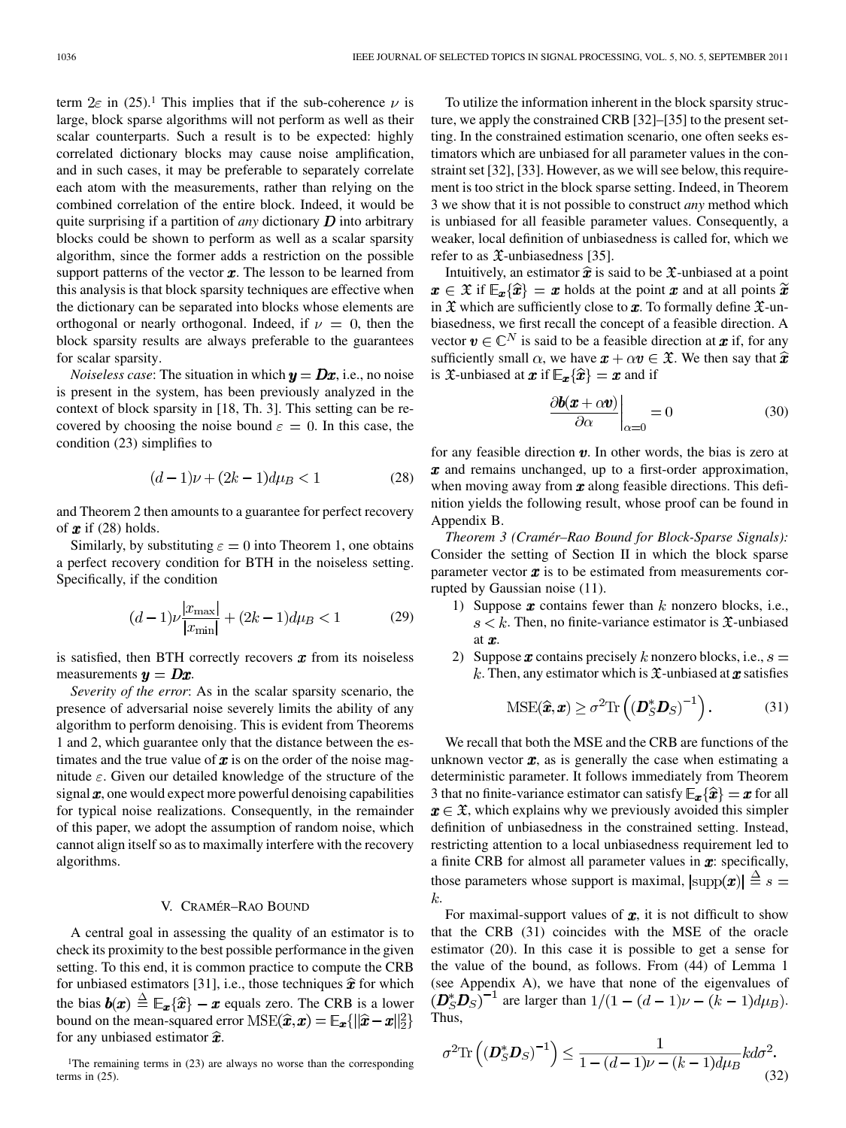term  $2\varepsilon$  in (25).<sup>1</sup> This implies that if the sub-coherence  $\nu$  is large, block sparse algorithms will not perform as well as their scalar counterparts. Such a result is to be expected: highly correlated dictionary blocks may cause noise amplification, and in such cases, it may be preferable to separately correlate each atom with the measurements, rather than relying on the combined correlation of the entire block. Indeed, it would be quite surprising if a partition of *any* dictionary  $\bm{D}$  into arbitrary blocks could be shown to perform as well as a scalar sparsity algorithm, since the former adds a restriction on the possible support patterns of the vector  $x$ . The lesson to be learned from this analysis is that block sparsity techniques are effective when the dictionary can be separated into blocks whose elements are orthogonal or nearly orthogonal. Indeed, if  $\nu = 0$ , then the block sparsity results are always preferable to the guarantees for scalar sparsity.

*Noiseless case*: The situation in which  $y = Dx$ , i.e., no noise is present in the system, has been previously analyzed in the context of block sparsity in [18, Th. 3]. This setting can be recovered by choosing the noise bound  $\varepsilon = 0$ . In this case, the condition (23) simplifies to

$$
(d-1)\nu + (2k-1)d\mu = 1
$$
 (28)

and Theorem 2 then amounts to a guarantee for perfect recovery of  $x$  if (28) holds.

Similarly, by substituting  $\varepsilon = 0$  into Theorem 1, one obtains a perfect recovery condition for BTH in the noiseless setting. Specifically, if the condition

$$
(d-1)\nu \frac{|x_{\text{max}}|}{|x_{\text{min}}|} + (2k-1)d\mu = > 1
$$
 (29)

is satisfied, then BTH correctly recovers  $\boldsymbol{x}$  from its noiseless measurements  $y = Dx$ .

*Severity of the error*: As in the scalar sparsity scenario, the presence of adversarial noise severely limits the ability of any algorithm to perform denoising. This is evident from Theorems 1 and 2, which guarantee only that the distance between the estimates and the true value of  $x$  is on the order of the noise magnitude  $\varepsilon$ . Given our detailed knowledge of the structure of the signal  $x$ , one would expect more powerful denoising capabilities for typical noise realizations. Consequently, in the remainder of this paper, we adopt the assumption of random noise, which cannot align itself so as to maximally interfere with the recovery algorithms.

# V. CRAMÉR–RAO BOUND

A central goal in assessing the quality of an estimator is to check its proximity to the best possible performance in the given setting. To this end, it is common practice to compute the CRB for unbiased estimators [31], i.e., those techniques  $\hat{x}$  for which the bias  $b(x) \triangleq \mathbb{E}_x\{\hat{x}\} - x$  equals zero. The CRB is a lower bound on the mean-squared error  $\text{MSE}(\hat{x}, x) = \mathbb{E}_x \{ ||\hat{x} - x||^2 \}$ for any unbiased estimator  $\hat{x}$ .

<sup>1</sup>The remaining terms in (23) are always no worse than the corresponding terms in (25).

To utilize the information inherent in the block sparsity structure, we apply the constrained CRB [32]–[35] to the present setting. In the constrained estimation scenario, one often seeks estimators which are unbiased for all parameter values in the constraint set [32], [33]. However, as we will see below, this requirement is too strict in the block sparse setting. Indeed, in Theorem 3 we show that it is not possible to construct *any* method which is unbiased for all feasible parameter values. Consequently, a weaker, local definition of unbiasedness is called for, which we refer to as  $\mathfrak{X}$ -unbiasedness [35].

Intuitively, an estimator  $\hat{x}$  is said to be  $\hat{x}$ -unbiased at a point  $\mathbf{x} \in \mathfrak{X}$  if  $\mathbb{E}_{\mathbf{x}}\{\hat{\mathbf{x}}\} = \mathbf{x}$  holds at the point  $\mathbf{x}$  and at all points  $\widetilde{\mathbf{x}}$ in  $\mathfrak X$  which are sufficiently close to  $\mathfrak x$ . To formally define  $\mathfrak X$ -unbiasedness, we first recall the concept of a feasible direction. A vector  $v \in \mathbb{C}^N$  is said to be a feasible direction at  $x$  if, for any sufficiently small  $\alpha$ , we have  $\mathbf{x} + \alpha \mathbf{v} \in \mathfrak{X}$ . We then say that  $\hat{\mathbf{x}}$ is X-unbiased at x if  $\mathbb{E}_x\{\widehat{x}\} = x$  and if

$$
\left. \frac{\partial b(x + \alpha v)}{\partial \alpha} \right|_{\alpha = 0} = 0 \tag{30}
$$

for any feasible direction  $v$ . In other words, the bias is zero at  $x$  and remains unchanged, up to a first-order approximation, when moving away from  $x$  along feasible directions. This definition yields the following result, whose proof can be found in Appendix B.

*Theorem 3 (Cramér–Rao Bound for Block-Sparse Signals):* Consider the setting of Section II in which the block sparse parameter vector  $\boldsymbol{x}$  is to be estimated from measurements corrupted by Gaussian noise (11).

- 1) Suppose  $x$  contains fewer than  $k$  nonzero blocks, i.e.,  $s < k$ . Then, no finite-variance estimator is  $\mathfrak{X}$ -unbiased at  $\boldsymbol{x}$ .
- 2) Suppose x contains precisely k nonzero blocks, i.e.,  $s =$ k. Then, any estimator which is  $\mathfrak X$ -unbiased at  $\mathfrak x$  satisfies

$$
\text{MSE}(\hat{\boldsymbol{x}}, \boldsymbol{x}) \ge \sigma^2 \text{Tr}\left(\left(\boldsymbol{D}_S^* \boldsymbol{D}_S\right)^{-1}\right). \tag{31}
$$

We recall that both the MSE and the CRB are functions of the unknown vector  $x$ , as is generally the case when estimating a deterministic parameter. It follows immediately from Theorem 3 that no finite-variance estimator can satisfy  $\mathbb{E}_x\{\hat{x}\} = x$  for all  $x \in \mathfrak{X}$ , which explains why we previously avoided this simpler definition of unbiasedness in the constrained setting. Instead, restricting attention to a local unbiasedness requirement led to a finite CRB for almost all parameter values in  $x$ : specifically, those parameters whose support is maximal,  $|\text{supp}(\boldsymbol{x})| \stackrel{\Delta}{=} s =$  $k.$ 

For maximal-support values of  $x$ , it is not difficult to show that the CRB (31) coincides with the MSE of the oracle estimator (20). In this case it is possible to get a sense for the value of the bound, as follows. From (44) of Lemma 1 (see Appendix A), we have that none of the eigenvalues of  $(D_S^* D_S)^{-1}$  are larger than  $1/(1 - (d - 1)\nu - (k - 1)d\mu_B)$ . Thus,

$$
\sigma^2 \text{Tr}\left(\left(\mathbf{D}_S^* \mathbf{D}_S\right)^{-1}\right) \le \frac{1}{1 - (d-1)\nu - (k-1)d\mu_B} k d\sigma^2. \tag{32}
$$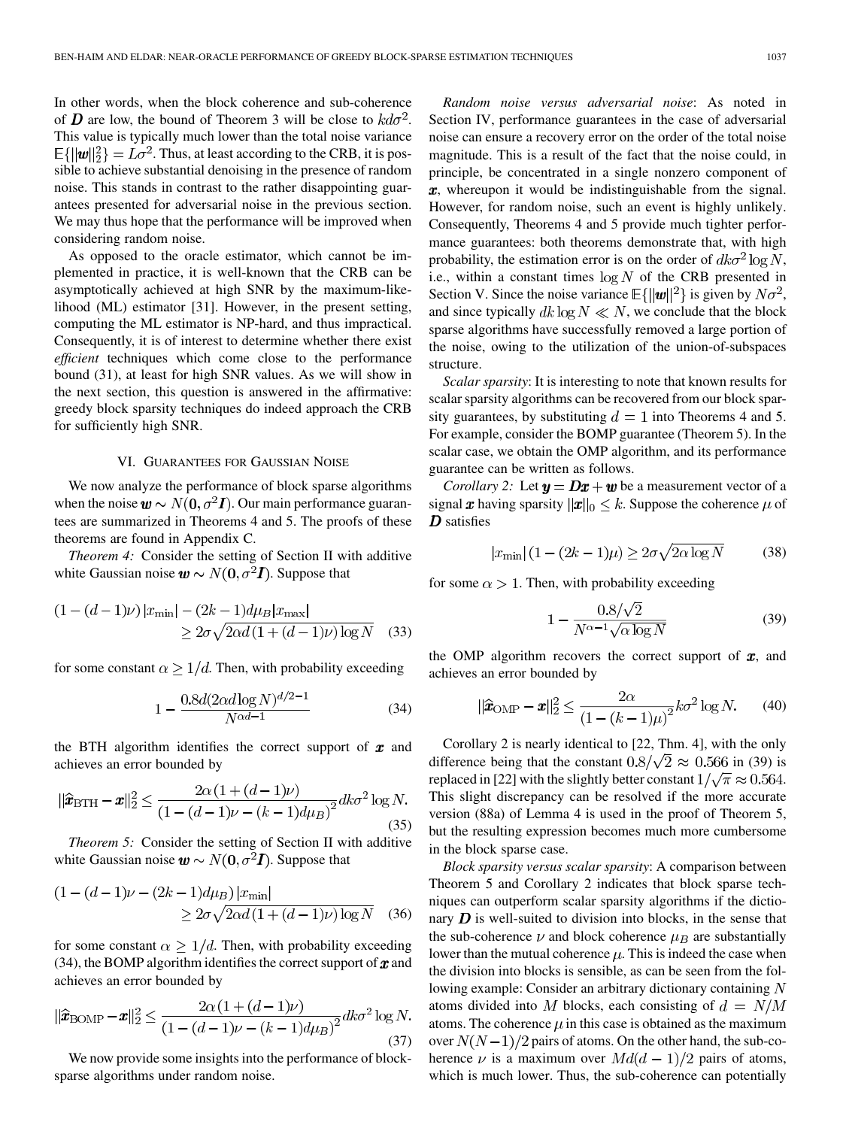In other words, when the block coherence and sub-coherence of  $\vec{\mathbf{D}}$  are low, the bound of Theorem 3 will be close to  $\mathit{kd}\sigma^2$ . This value is typically much lower than the total noise variance  $\mathbb{E}\{\|\boldsymbol{w}\|_{2}^{2}\} = L\sigma^{2}$ . Thus, at least according to the CRB, it is possible to achieve substantial denoising in the presence of random noise. This stands in contrast to the rather disappointing guarantees presented for adversarial noise in the previous section. We may thus hope that the performance will be improved when considering random noise.

As opposed to the oracle estimator, which cannot be implemented in practice, it is well-known that the CRB can be asymptotically achieved at high SNR by the maximum-likelihood (ML) estimator [31]. However, in the present setting, computing the ML estimator is NP-hard, and thus impractical. Consequently, it is of interest to determine whether there exist *efficient* techniques which come close to the performance bound (31), at least for high SNR values. As we will show in the next section, this question is answered in the affirmative: greedy block sparsity techniques do indeed approach the CRB for sufficiently high SNR.

# VI. GUARANTEES FOR GAUSSIAN NOISE

We now analyze the performance of block sparse algorithms when the noise  $\mathbf{w} \sim N(\mathbf{0}, \sigma^2 \mathbf{I})$ . Our main performance guarantees are summarized in Theorems 4 and 5. The proofs of these theorems are found in Appendix C.

*Theorem 4:* Consider the setting of Section II with additive white Gaussian noise  $\mathbf{w} \sim N(\mathbf{0}, \sigma^2 \mathbf{I})$ . Suppose that

$$
(1 - (d - 1)\nu) |x_{\min}| - (2k - 1)d\mu_B |x_{\max}|
$$
  
\n
$$
\geq 2\sigma\sqrt{2\alpha d (1 + (d - 1)\nu) \log N}
$$
 (33)

for some constant  $\alpha > 1/d$ . Then, with probability exceeding

$$
1 - \frac{0.8d(2\alpha d \log N)^{d/2 - 1}}{N^{\alpha d - 1}}\tag{34}
$$

the BTH algorithm identifies the correct support of  $x$  and achieves an error bounded by

$$
\|\hat{\boldsymbol{x}}_{\text{BTH}} - \boldsymbol{x}\|_{2}^{2} \le \frac{2\alpha \left(1 + (d - 1)\nu\right)}{\left(1 - (d - 1)\nu - (k - 1)d\mu_{B}\right)^{2}} d\kappa \sigma^{2} \log N. \tag{35}
$$

*Theorem 5:* Consider the setting of Section II with additive white Gaussian noise  $\mathbf{w} \sim N(\mathbf{0}, \sigma^2 \mathbf{I})$ . Suppose that

$$
(1 - (d - 1)\nu - (2k - 1)d\mu_B)|x_{\min}|
$$
  
 
$$
\geq 2\sigma\sqrt{2\alpha d(1 + (d - 1)\nu)\log N}
$$
 (36)

for some constant  $\alpha \geq 1/d$ . Then, with probability exceeding (34), the BOMP algorithm identifies the correct support of  $\boldsymbol{x}$  and achieves an error bounded by

$$
\|\hat{\boldsymbol{x}}_{\text{BOMP}} - \boldsymbol{x}\|_2^2 \le \frac{2\alpha \left(1 + (d-1)\nu\right)}{\left(1 - (d-1)\nu - (k-1)d\mu\right)^2} d\kappa \sigma^2 \log N. \tag{37}
$$

We now provide some insights into the performance of blocksparse algorithms under random noise.

*Random noise versus adversarial noise*: As noted in Section IV, performance guarantees in the case of adversarial noise can ensure a recovery error on the order of the total noise magnitude. This is a result of the fact that the noise could, in principle, be concentrated in a single nonzero component of  $x$ , whereupon it would be indistinguishable from the signal. However, for random noise, such an event is highly unlikely. Consequently, Theorems 4 and 5 provide much tighter performance guarantees: both theorems demonstrate that, with high probability, the estimation error is on the order of  $dk\sigma^2 \log N$ , i.e., within a constant times  $\log N$  of the CRB presented in Section V. Since the noise variance  $\mathbb{E}\{\|\mathbf{w}\|^2\}$  is given by  $N\sigma^2$ , and since typically  $dk \log N \ll N$ , we conclude that the block sparse algorithms have successfully removed a large portion of the noise, owing to the utilization of the union-of-subspaces structure.

*Scalar sparsity*: It is interesting to note that known results for scalar sparsity algorithms can be recovered from our block sparsity guarantees, by substituting  $d = 1$  into Theorems 4 and 5. For example, consider the BOMP guarantee (Theorem 5). In the scalar case, we obtain the OMP algorithm, and its performance guarantee can be written as follows.

*Corollary 2:* Let  $y = Dx + w$  be a measurement vector of a signal x having sparsity  $\|\mathbf{x}\|_0 \leq k$ . Suppose the coherence  $\mu$  of  **satisfies** 

$$
|x_{\min}| (1 - (2k - 1)\mu) \ge 2\sigma \sqrt{2\alpha \log N} \tag{38}
$$

for some  $\alpha > 1$ . Then, with probability exceeding

$$
1 - \frac{0.8/\sqrt{2}}{N^{\alpha - 1}\sqrt{\alpha \log N}}\tag{39}
$$

the OMP algorithm recovers the correct support of  $x$ , and achieves an error bounded by

$$
\|\widehat{\mathbf{x}}_{\text{OMP}} - \mathbf{x}\|_2^2 \le \frac{2\alpha}{\left(1 - (k-1)\mu\right)^2} k\sigma^2 \log N. \tag{40}
$$

Corollary 2 is nearly identical to [22, Thm. 4], with the only difference being that the constant  $0.8/\sqrt{2} \approx 0.566$  in (39) is replaced in [22] with the slightly better constant  $1/\sqrt{\pi} \approx 0.564$ . This slight discrepancy can be resolved if the more accurate version (88a) of Lemma 4 is used in the proof of Theorem 5, but the resulting expression becomes much more cumbersome in the block sparse case.

*Block sparsity versus scalar sparsity*: A comparison between Theorem 5 and Corollary 2 indicates that block sparse techniques can outperform scalar sparsity algorithms if the dictionary  $\bm{D}$  is well-suited to division into blocks, in the sense that the sub-coherence  $\nu$  and block coherence  $\mu_B$  are substantially lower than the mutual coherence  $\mu$ . This is indeed the case when the division into blocks is sensible, as can be seen from the following example: Consider an arbitrary dictionary containing  $N$ atoms divided into M blocks, each consisting of  $d = N/M$ atoms. The coherence  $\mu$  in this case is obtained as the maximum over  $N(N-1)/2$  pairs of atoms. On the other hand, the sub-coherence  $\nu$  is a maximum over  $Md(d-1)/2$  pairs of atoms, which is much lower. Thus, the sub-coherence can potentially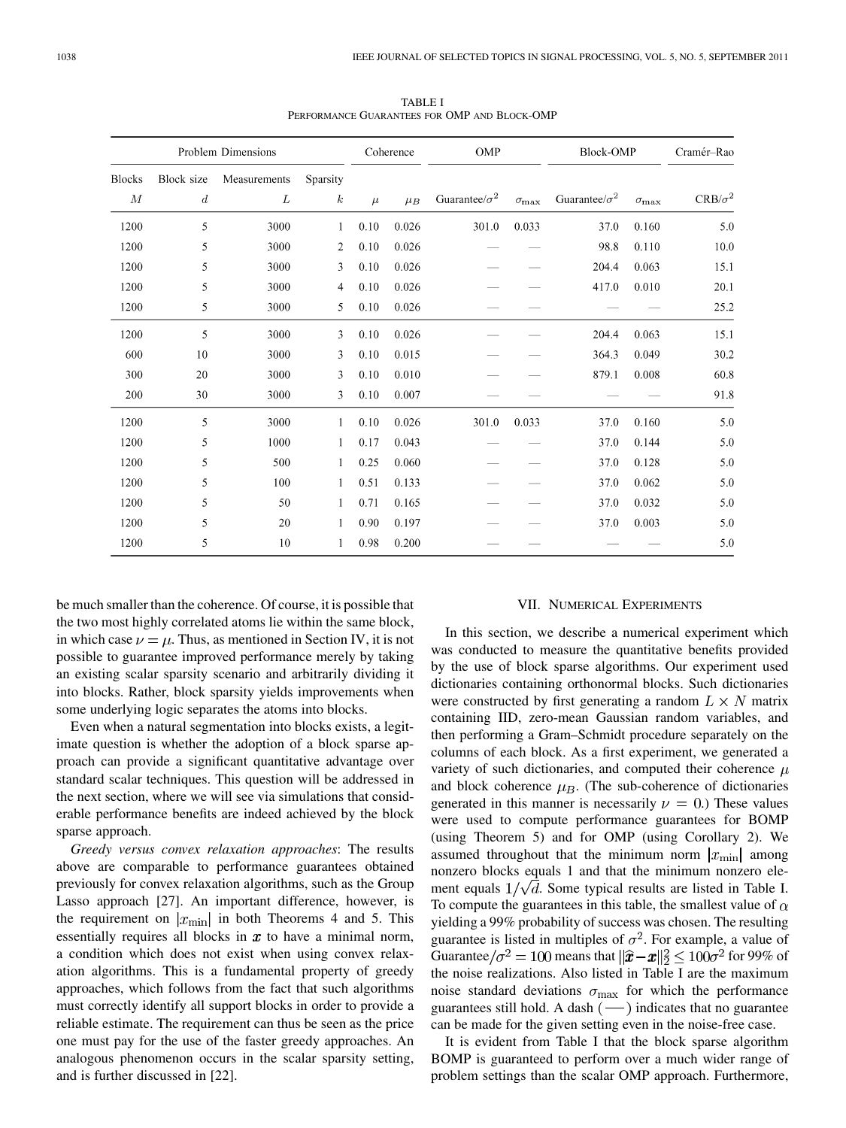| Problem Dimensions |                  |              |                  |       | Coherence | OMP                   |                    | Block-OMP             |                    | Cramér-Rao              |
|--------------------|------------------|--------------|------------------|-------|-----------|-----------------------|--------------------|-----------------------|--------------------|-------------------------|
| <b>Blocks</b>      | Block size       | Measurements | Sparsity         |       |           |                       |                    |                       |                    |                         |
| $\boldsymbol{M}$   | $\boldsymbol{d}$ | L            | $\boldsymbol{k}$ | $\mu$ | $\mu_B$   | Guarantee/ $\sigma^2$ | $\sigma_{\rm max}$ | Guarantee/ $\sigma^2$ | $\sigma_{\rm max}$ | $\mathrm{CRB}/\sigma^2$ |
| 1200               | 5                | 3000         | 1                | 0.10  | 0.026     | 301.0                 | 0.033              | 37.0                  | 0.160              | 5.0                     |
| 1200               | 5                | 3000         | $\overline{2}$   | 0.10  | 0.026     |                       |                    | 98.8                  | 0.110              | $10.0\,$                |
| 1200               | 5                | 3000         | 3                | 0.10  | 0.026     |                       |                    | 204.4                 | 0.063              | 15.1                    |
| 1200               | 5                | 3000         | 4                | 0.10  | 0.026     |                       |                    | 417.0                 | 0.010              | 20.1                    |
| 1200               | 5                | 3000         | 5                | 0.10  | 0.026     |                       |                    |                       |                    | 25.2                    |
| 1200               | 5                | 3000         | 3                | 0.10  | 0.026     |                       |                    | 204.4                 | 0.063              | 15.1                    |
| 600                | 10               | 3000         | 3                | 0.10  | 0.015     |                       |                    | 364.3                 | 0.049              | 30.2                    |
| 300                | 20               | 3000         | 3                | 0.10  | 0.010     |                       |                    | 879.1                 | 0.008              | 60.8                    |
| 200                | 30               | 3000         | 3                | 0.10  | 0.007     |                       |                    |                       |                    | 91.8                    |
| 1200               | 5                | 3000         |                  | 0.10  | 0.026     | 301.0                 | 0.033              | 37.0                  | 0.160              | $5.0\,$                 |
| 1200               | 5                | 1000         | 1                | 0.17  | 0.043     |                       |                    | 37.0                  | 0.144              | 5.0                     |
| 1200               | 5                | 500          | $\mathbf{1}$     | 0.25  | 0.060     |                       |                    | 37.0                  | 0.128              | 5.0                     |
| 1200               | 5                | 100          | 1                | 0.51  | 0.133     |                       |                    | 37.0                  | 0.062              | 5.0                     |
| 1200               | 5                | 50           | 1                | 0.71  | 0.165     |                       |                    | 37.0                  | 0.032              | $5.0\,$                 |
| 1200               | 5                | 20           | 1                | 0.90  | 0.197     |                       |                    | 37.0                  | 0.003              | 5.0                     |
| 1200               | 5                | 10           |                  | 0.98  | 0.200     |                       |                    |                       |                    | 5.0                     |

TABLE I PERFORMANCE GUARANTEES FOR OMP AND BLOCK-OMP

be much smaller than the coherence. Of course, it is possible that the two most highly correlated atoms lie within the same block, in which case  $\nu = \mu$ . Thus, as mentioned in Section IV, it is not possible to guarantee improved performance merely by taking an existing scalar sparsity scenario and arbitrarily dividing it into blocks. Rather, block sparsity yields improvements when some underlying logic separates the atoms into blocks.

Even when a natural segmentation into blocks exists, a legitimate question is whether the adoption of a block sparse approach can provide a significant quantitative advantage over standard scalar techniques. This question will be addressed in the next section, where we will see via simulations that considerable performance benefits are indeed achieved by the block sparse approach.

*Greedy versus convex relaxation approaches*: The results above are comparable to performance guarantees obtained previously for convex relaxation algorithms, such as the Group Lasso approach [27]. An important difference, however, is the requirement on  $|x_{\text{min}}|$  in both Theorems 4 and 5. This essentially requires all blocks in  $x$  to have a minimal norm, a condition which does not exist when using convex relaxation algorithms. This is a fundamental property of greedy approaches, which follows from the fact that such algorithms must correctly identify all support blocks in order to provide a reliable estimate. The requirement can thus be seen as the price one must pay for the use of the faster greedy approaches. An analogous phenomenon occurs in the scalar sparsity setting, and is further discussed in [22].

# VII. NUMERICAL EXPERIMENTS

In this section, we describe a numerical experiment which was conducted to measure the quantitative benefits provided by the use of block sparse algorithms. Our experiment used dictionaries containing orthonormal blocks. Such dictionaries were constructed by first generating a random  $L \times N$  matrix containing IID, zero-mean Gaussian random variables, and then performing a Gram–Schmidt procedure separately on the columns of each block. As a first experiment, we generated a variety of such dictionaries, and computed their coherence  $\mu$ and block coherence  $\mu_B$ . (The sub-coherence of dictionaries generated in this manner is necessarily  $\nu = 0$ .) These values were used to compute performance guarantees for BOMP (using Theorem 5) and for OMP (using Corollary 2). We assumed throughout that the minimum norm  $|x_{\text{min}}|$  among nonzero blocks equals 1 and that the minimum nonzero element equals  $1/\sqrt{d}$ . Some typical results are listed in Table I. To compute the guarantees in this table, the smallest value of  $\alpha$ yielding a 99% probability of success was chosen. The resulting guarantee is listed in multiples of  $\sigma^2$ . For example, a value of Guarantee/ $\sigma^2 = 100$  means that  $||\hat{\mathbf{x}} - \mathbf{x}||_2^2 \le 100\sigma^2$  for 99% of the noise realizations. Also listed in Table I are the maximum noise standard deviations  $\sigma_{\text{max}}$  for which the performance guarantees still hold. A dash  $(-)$  indicates that no guarantee can be made for the given setting even in the noise-free case.

It is evident from Table I that the block sparse algorithm BOMP is guaranteed to perform over a much wider range of problem settings than the scalar OMP approach. Furthermore,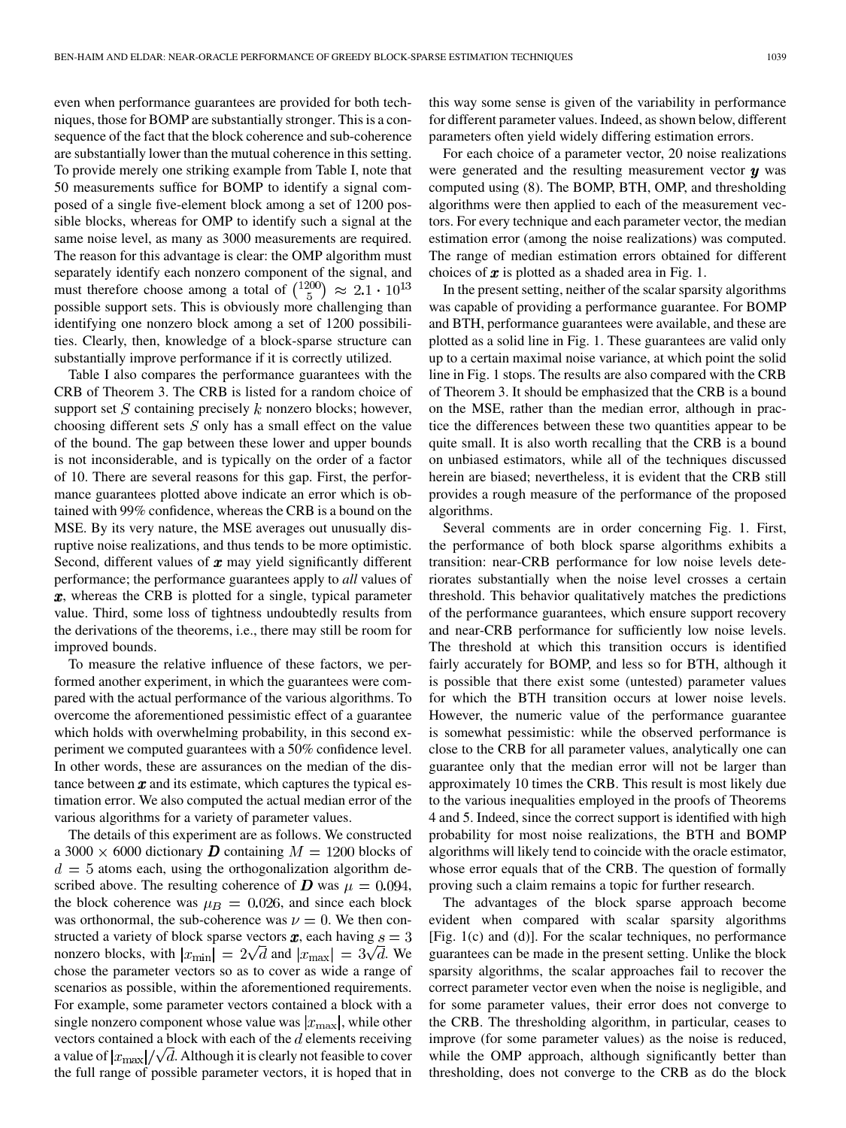even when performance guarantees are provided for both techniques, those for BOMP are substantially stronger. This is a consequence of the fact that the block coherence and sub-coherence are substantially lower than the mutual coherence in this setting. To provide merely one striking example from Table I, note that 50 measurements suffice for BOMP to identify a signal composed of a single five-element block among a set of 1200 possible blocks, whereas for OMP to identify such a signal at the same noise level, as many as 3000 measurements are required. The reason for this advantage is clear: the OMP algorithm must separately identify each nonzero component of the signal, and must therefore choose among a total of  $\binom{1200}{5} \approx 2.1 \cdot 10^{13}$ possible support sets. This is obviously more challenging than identifying one nonzero block among a set of 1200 possibilities. Clearly, then, knowledge of a block-sparse structure can substantially improve performance if it is correctly utilized.

Table I also compares the performance guarantees with the CRB of Theorem 3. The CRB is listed for a random choice of support set  $S$  containing precisely  $k$  nonzero blocks; however, choosing different sets  $S$  only has a small effect on the value of the bound. The gap between these lower and upper bounds is not inconsiderable, and is typically on the order of a factor of 10. There are several reasons for this gap. First, the performance guarantees plotted above indicate an error which is obtained with 99% confidence, whereas the CRB is a bound on the MSE. By its very nature, the MSE averages out unusually disruptive noise realizations, and thus tends to be more optimistic. Second, different values of  $x$  may yield significantly different performance; the performance guarantees apply to *all* values of  $x$ , whereas the CRB is plotted for a single, typical parameter value. Third, some loss of tightness undoubtedly results from the derivations of the theorems, i.e., there may still be room for improved bounds.

To measure the relative influence of these factors, we performed another experiment, in which the guarantees were compared with the actual performance of the various algorithms. To overcome the aforementioned pessimistic effect of a guarantee which holds with overwhelming probability, in this second experiment we computed guarantees with a 50% confidence level. In other words, these are assurances on the median of the distance between  $\boldsymbol{x}$  and its estimate, which captures the typical estimation error. We also computed the actual median error of the various algorithms for a variety of parameter values.

The details of this experiment are as follows. We constructed a 3000  $\times$  6000 dictionary **D** containing  $M = 1200$  blocks of  $d=5$  atoms each, using the orthogonalization algorithm described above. The resulting coherence of **D** was  $\mu = 0.094$ , the block coherence was  $\mu_B = 0.026$ , and since each block was orthonormal, the sub-coherence was  $\nu = 0$ . We then constructed a variety of block sparse vectors  $\boldsymbol{x}$ , each having  $s = 3$ nonzero blocks, with  $|x_{\text{min}}| = 2\sqrt{d}$  and  $|x_{\text{max}}| = 3\sqrt{d}$ . We chose the parameter vectors so as to cover as wide a range of scenarios as possible, within the aforementioned requirements. For example, some parameter vectors contained a block with a single nonzero component whose value was  $|x_{\text{max}}|$ , while other vectors contained a block with each of the  $d$  elements receiving a value of  $|x_{\text{max}}|/\sqrt{d}$ . Although it is clearly not feasible to cover the full range of possible parameter vectors, it is hoped that in

this way some sense is given of the variability in performance for different parameter values. Indeed, as shown below, different parameters often yield widely differing estimation errors.

For each choice of a parameter vector, 20 noise realizations were generated and the resulting measurement vector  $y$  was computed using (8). The BOMP, BTH, OMP, and thresholding algorithms were then applied to each of the measurement vectors. For every technique and each parameter vector, the median estimation error (among the noise realizations) was computed. The range of median estimation errors obtained for different choices of  $x$  is plotted as a shaded area in Fig. 1.

In the present setting, neither of the scalar sparsity algorithms was capable of providing a performance guarantee. For BOMP and BTH, performance guarantees were available, and these are plotted as a solid line in Fig. 1. These guarantees are valid only up to a certain maximal noise variance, at which point the solid line in Fig. 1 stops. The results are also compared with the CRB of Theorem 3. It should be emphasized that the CRB is a bound on the MSE, rather than the median error, although in practice the differences between these two quantities appear to be quite small. It is also worth recalling that the CRB is a bound on unbiased estimators, while all of the techniques discussed herein are biased; nevertheless, it is evident that the CRB still provides a rough measure of the performance of the proposed algorithms.

Several comments are in order concerning Fig. 1. First, the performance of both block sparse algorithms exhibits a transition: near-CRB performance for low noise levels deteriorates substantially when the noise level crosses a certain threshold. This behavior qualitatively matches the predictions of the performance guarantees, which ensure support recovery and near-CRB performance for sufficiently low noise levels. The threshold at which this transition occurs is identified fairly accurately for BOMP, and less so for BTH, although it is possible that there exist some (untested) parameter values for which the BTH transition occurs at lower noise levels. However, the numeric value of the performance guarantee is somewhat pessimistic: while the observed performance is close to the CRB for all parameter values, analytically one can guarantee only that the median error will not be larger than approximately 10 times the CRB. This result is most likely due to the various inequalities employed in the proofs of Theorems 4 and 5. Indeed, since the correct support is identified with high probability for most noise realizations, the BTH and BOMP algorithms will likely tend to coincide with the oracle estimator, whose error equals that of the CRB. The question of formally proving such a claim remains a topic for further research.

The advantages of the block sparse approach become evident when compared with scalar sparsity algorithms [Fig. 1(c) and (d)]. For the scalar techniques, no performance guarantees can be made in the present setting. Unlike the block sparsity algorithms, the scalar approaches fail to recover the correct parameter vector even when the noise is negligible, and for some parameter values, their error does not converge to the CRB. The thresholding algorithm, in particular, ceases to improve (for some parameter values) as the noise is reduced, while the OMP approach, although significantly better than thresholding, does not converge to the CRB as do the block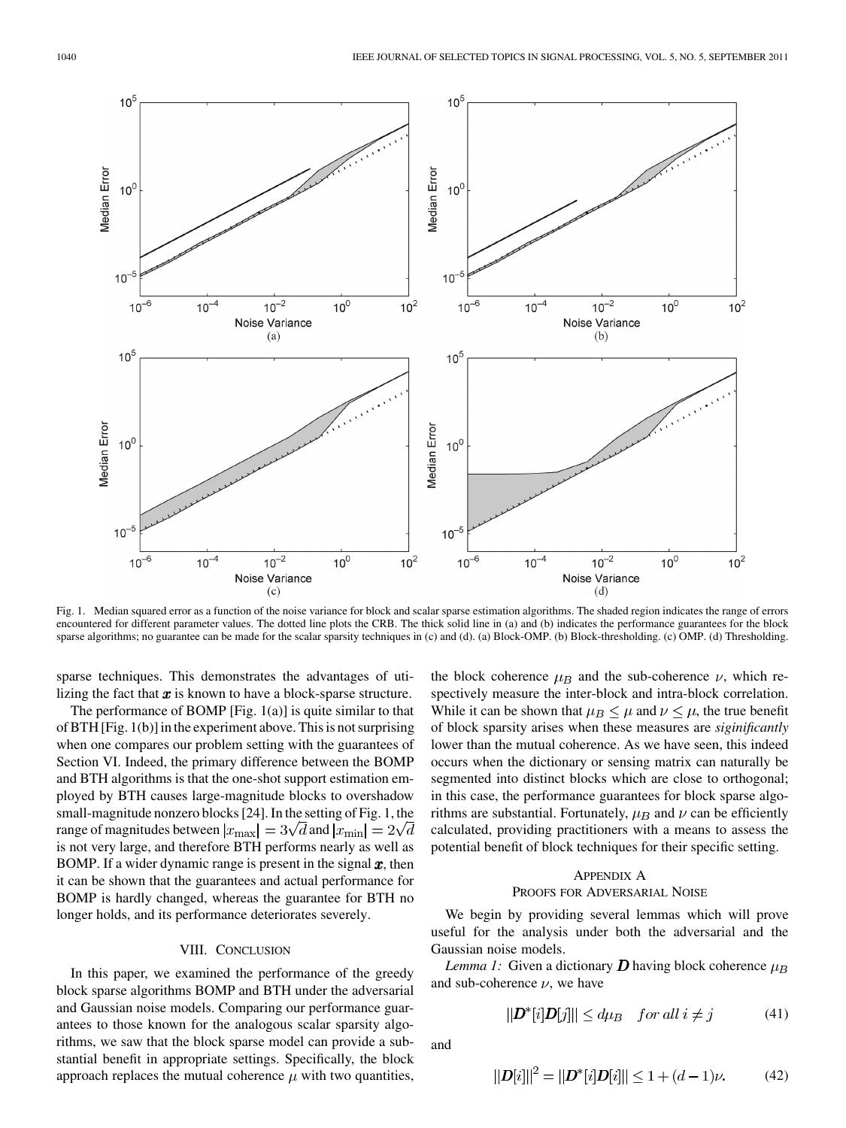

Fig. 1. Median squared error as a function of the noise variance for block and scalar sparse estimation algorithms. The shaded region indicates the range of errors encountered for different parameter values. The dotted line plots the CRB. The thick solid line in (a) and (b) indicates the performance guarantees for the block sparse algorithms; no guarantee can be made for the scalar sparsity techniques in (c) and (d). (a) Block-OMP. (b) Block-thresholding. (c) OMP. (d) Thresholding.

sparse techniques. This demonstrates the advantages of utilizing the fact that  $x$  is known to have a block-sparse structure.

The performance of BOMP [Fig. 1(a)] is quite similar to that of BTH [Fig. 1(b)] in the experiment above. This is not surprising when one compares our problem setting with the guarantees of Section VI. Indeed, the primary difference between the BOMP and BTH algorithms is that the one-shot support estimation employed by BTH causes large-magnitude blocks to overshadow small-magnitude nonzero blocks [24]. In the setting of Fig. 1, the range of magnitudes between  $|x_{\rm max}| = 3\sqrt{d}$  and  $|x_{\rm min}| = 2\sqrt{d}$ is not very large, and therefore BTH performs nearly as well as BOMP. If a wider dynamic range is present in the signal  $x$ , then it can be shown that the guarantees and actual performance for BOMP is hardly changed, whereas the guarantee for BTH no longer holds, and its performance deteriorates severely.

## VIII. CONCLUSION

In this paper, we examined the performance of the greedy block sparse algorithms BOMP and BTH under the adversarial and Gaussian noise models. Comparing our performance guarantees to those known for the analogous scalar sparsity algorithms, we saw that the block sparse model can provide a substantial benefit in appropriate settings. Specifically, the block approach replaces the mutual coherence  $\mu$  with two quantities, the block coherence  $\mu_B$  and the sub-coherence  $\nu$ , which respectively measure the inter-block and intra-block correlation. While it can be shown that  $\mu_B \leq \mu$  and  $\nu \leq \mu$ , the true benefit of block sparsity arises when these measures are *siginificantly* lower than the mutual coherence. As we have seen, this indeed occurs when the dictionary or sensing matrix can naturally be segmented into distinct blocks which are close to orthogonal; in this case, the performance guarantees for block sparse algorithms are substantial. Fortunately,  $\mu_B$  and  $\nu$  can be efficiently calculated, providing practitioners with a means to assess the potential benefit of block techniques for their specific setting.

# APPENDIX A

# PROOFS FOR ADVERSARIAL NOISE

We begin by providing several lemmas which will prove useful for the analysis under both the adversarial and the Gaussian noise models.

*Lemma 1:* Given a dictionary *D* having block coherence  $\mu_B$ and sub-coherence  $\nu$ , we have

$$
\|\mathbf{D}^*[i]\mathbf{D}[j]\| \le d\mu_B \quad \text{for all } i \ne j \tag{41}
$$

and

$$
||D[i]||^2 = ||D^*[i]D[i]|| \le 1 + (d-1)\nu.
$$
 (42)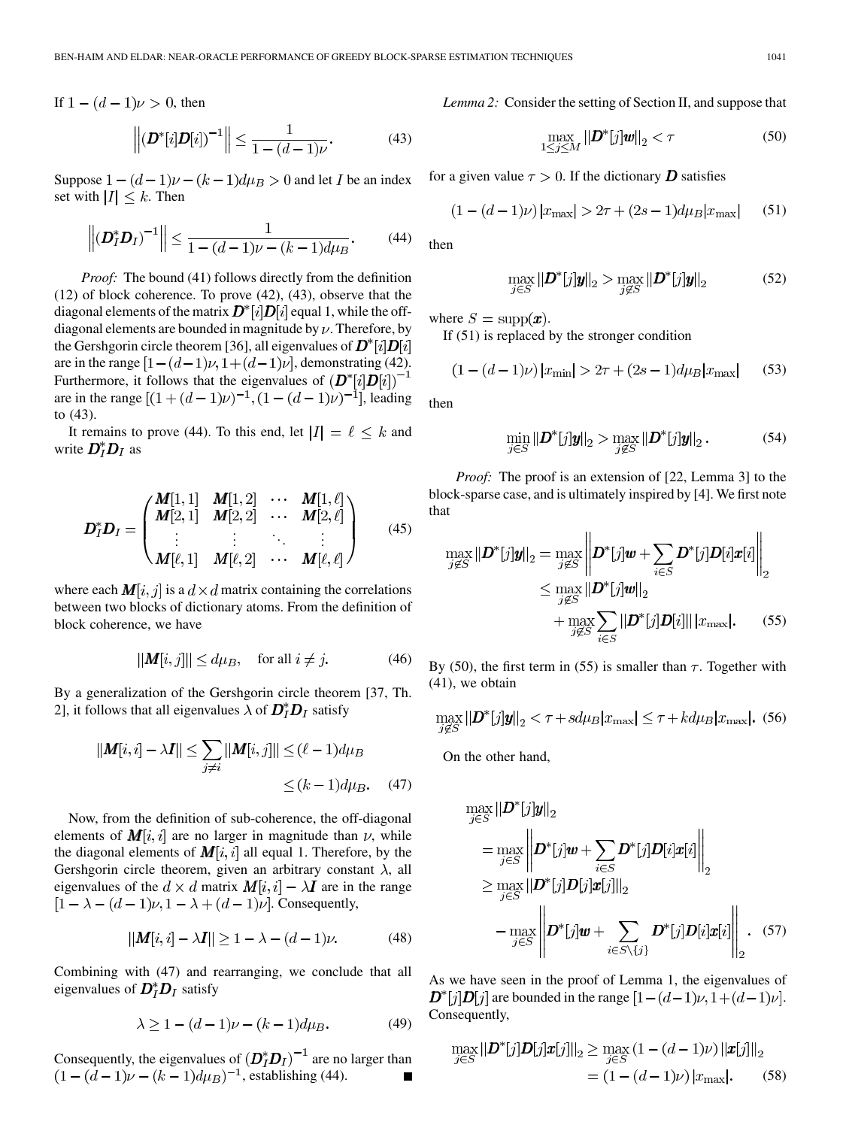If  $1 - (d - 1)\nu > 0$ , then

$$
\left\| \left( \bm{D}^*[i] \bm{D}[i] \right)^{-1} \right\| \le \frac{1}{1 - (d-1)\nu}.
$$
 (43)

Suppose  $1 - (d - 1)\nu - (k - 1)d\mu$  > 0 and let *I* be an index set with  $|I| \leq k$ . Then

$$
\left\| \left( \mathbf{D}_{I}^{*} \mathbf{D}_{I} \right)^{-1} \right\| \leq \frac{1}{1 - (d - 1)\nu - (k - 1)d\mu B}.
$$
 (44)

*Proof:* The bound (41) follows directly from the definition (12) of block coherence. To prove (42), (43), observe that the diagonal elements of the matrix  $\mathbf{D}^{\dagger}[i]\mathbf{D}[i]$  equal 1, while the offdiagonal elements are bounded in magnitude by  $\nu$ . Therefore, by the Gershgorin circle theorem [36], all eigenvalues of  $\mathbf{D}^{\ast}[i]\mathbf{D}[i]$ are in the range  $[1-(d-1)\nu, 1+(d-1)\nu]$ , demonstrating (42). Furthermore, it follows that the eigenvalues of  $(D^*[i]D[i])^{-1}$ are in the range  $[(1 + (d-1)\nu)^{-1}, (1 - (d-1)\nu)^{-1}]$ , leading to (43).

It remains to prove (44). To this end, let  $|I| = \ell \leq k$  and write  $D_I^*D_I$  as

$$
\boldsymbol{D}_{I}^{*} \boldsymbol{D}_{I} = \begin{pmatrix} \boldsymbol{M}[1,1] & \boldsymbol{M}[1,2] & \cdots & \boldsymbol{M}[1,\ell] \\ \boldsymbol{M}[2,1] & \boldsymbol{M}[2,2] & \cdots & \boldsymbol{M}[2,\ell] \\ \vdots & \vdots & \ddots & \vdots \\ \boldsymbol{M}[\ell,1] & \boldsymbol{M}[\ell,2] & \cdots & \boldsymbol{M}[\ell,\ell] \end{pmatrix} (45)
$$

where each  $M[i, j]$  is a  $d \times d$  matrix containing the correlations between two blocks of dictionary atoms. From the definition of block coherence, we have

$$
||M[i,j]|| \le d\mu, \quad \text{for all } i \neq j. \tag{46}
$$

By a generalization of the Gershgorin circle theorem [37, Th. 2], it follows that all eigenvalues  $\lambda$  of  $\mathbf{D}_{I}^{*} \mathbf{D}_{I}$  satisfy

$$
||M[i, i] - \lambda I|| \le \sum_{j \ne i} ||M[i, j]|| \le (\ell - 1)d\mu_B
$$
  

$$
\le (k - 1)d\mu_B. \quad (47)
$$

Now, from the definition of sub-coherence, the off-diagonal elements of  $M[i, i]$  are no larger in magnitude than  $\nu$ , while the diagonal elements of  $M[i, i]$  all equal 1. Therefore, by the Gershgorin circle theorem, given an arbitrary constant  $\lambda$ , all eigenvalues of the  $d \times d$  matrix  $\mathbf{M}[i, i] - \lambda \mathbf{I}$  are in the range  $[1 - \lambda - (d-1)\nu, 1 - \lambda + (d-1)\nu]$ . Consequently,

$$
\|\mathbf{M}[i,i] - \lambda \mathbf{I}\| \ge 1 - \lambda - (d-1)\nu. \tag{48}
$$

Combining with (47) and rearranging, we conclude that all eigenvalues of  $\mathbf{D}_I^* \mathbf{D}_I$  satisfy

$$
\lambda \ge 1 - (d-1)\nu - (k-1)d\mu
$$
\n<sup>(49)</sup>

Consequently, the eigenvalues of  $(D_I^*D_I)^{-1}$  are no larger than , establishing (44).

*Lemma 2:* Consider the setting of Section II, and suppose that

$$
\max_{1 \le j \le M} ||\boldsymbol{D}^*[j] \boldsymbol{w}||_2 < \tau
$$
\n(50)

for a given value  $\tau > 0$ . If the dictionary **D** satisfies

$$
(1 - (d - 1)\nu) |x_{\text{max}}| > 2\tau + (2s - 1)d\mu_B |x_{\text{max}}|
$$
 (51)

then

$$
\max_{j \in S} \|\boldsymbol{D}^*[j]\boldsymbol{y}\|_2 > \max_{j \notin S} \|\boldsymbol{D}^*[j]\boldsymbol{y}\|_2 \tag{52}
$$

where  $S = \text{supp}(\boldsymbol{x})$ .

If (51) is replaced by the stronger condition

$$
(1 - (d - 1)\nu) |x_{\min}| > 2\tau + (2s - 1)d\mu_B |x_{\max}|
$$
 (53)

then

$$
\min_{j \in S} \|\mathbf{D}^*[j]\mathbf{y}\|_2 > \max_{j \notin S} \|\mathbf{D}^*[j]\mathbf{y}\|_2. \tag{54}
$$

*Proof:* The proof is an extension of [22, Lemma 3] to the block-sparse case, and is ultimately inspired by [4]. We first note that

$$
\max_{j \notin S} ||\boldsymbol{D}^*[j] \boldsymbol{y}||_2 = \max_{j \notin S} \left\| \boldsymbol{D}^*[j] \boldsymbol{w} + \sum_{i \in S} \boldsymbol{D}^*[j] \boldsymbol{D}[i] \boldsymbol{x}[i] \right\|_2
$$
  
\n
$$
\leq \max_{j \notin S} ||\boldsymbol{D}^*[j] \boldsymbol{w}||_2
$$
  
\n
$$
+ \max_{j \notin S} \sum_{i \in S} ||\boldsymbol{D}^*[j] \boldsymbol{D}[i]|| \, |x_{\max}|. \tag{55}
$$

By (50), the first term in (55) is smaller than  $\tau$ . Together with (41), we obtain

$$
\max_{j \notin S} \|\boldsymbol{D}^*[j]\boldsymbol{y}\|_2 < \tau + s d\mu_B |x_{\text{max}}| \le \tau + k d\mu_B |x_{\text{max}}|.
$$
 (56)

On the other hand,

$$
\max_{j \in S} ||D^*[j]y||_2
$$
\n
$$
= \max_{j \in S} \left\| D^*[j]w + \sum_{i \in S} D^*[j]D[i]x[i] \right\|_2
$$
\n
$$
\geq \max_{j \in S} ||D^*[j]D[j]x[j]||_2
$$
\n
$$
- \max_{j \in S} \left\| D^*[j]w + \sum_{i \in S \setminus \{j\}} D^*[j]D[i]x[i] \right\|_2. (57)
$$

As we have seen in the proof of Lemma 1, the eigenvalues of  $\mathbf{D}^*[j]\mathbf{D}[j]$  are bounded in the range  $[1-(d-1)\nu,1+(d-1)\nu]$ . Consequently,

$$
\max_{j \in S} ||\mathbf{D}^*[j] \mathbf{D}[j] \mathbf{x}[j]||_2 \ge \max_{j \in S} (1 - (d - 1)\nu) ||\mathbf{x}[j]||_2
$$
  
=  $(1 - (d - 1)\nu) |x_{\text{max}}|.$  (58)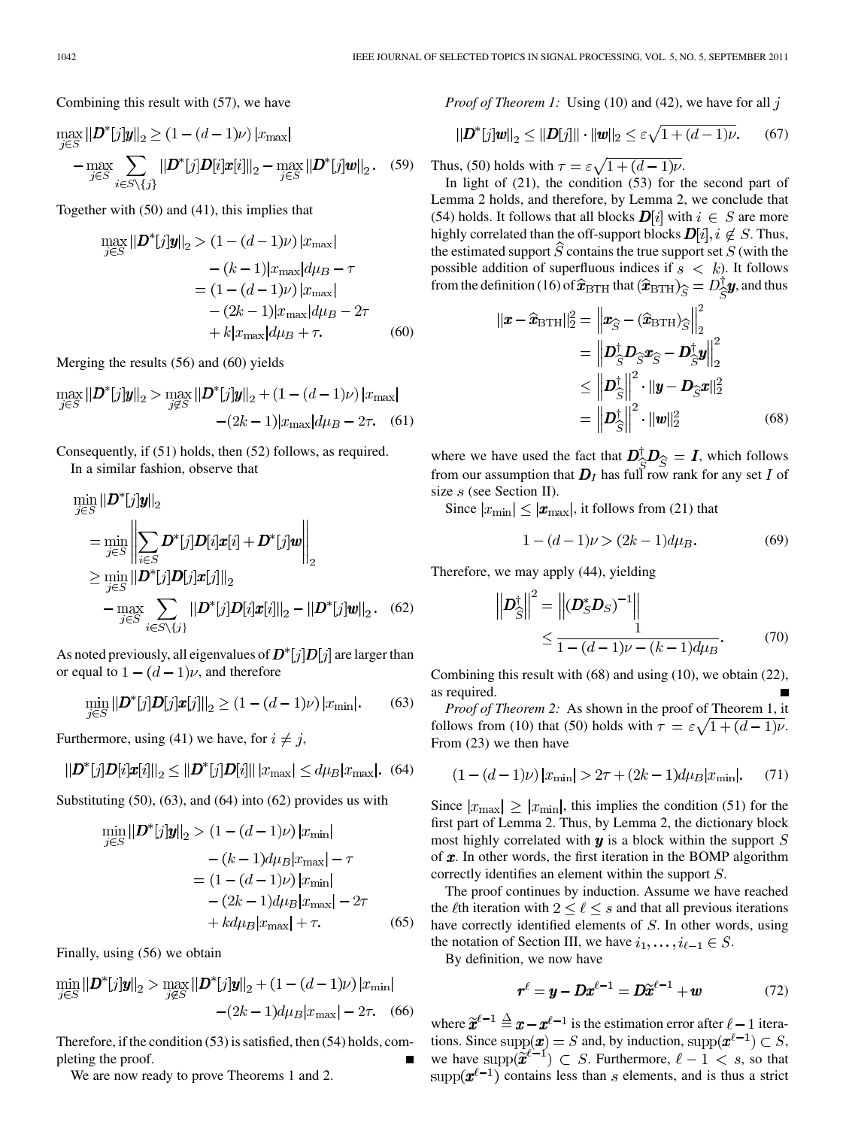Combining this result with (57), we have

$$
\max_{j \in S} ||D^*[j]y||_2 \ge (1 - (d - 1)\nu) |x_{\text{max}}|
$$
  
- 
$$
\max_{j \in S} \sum_{i \in S \setminus \{j\}} ||D^*[j]D[i]x[i]||_2 - \max_{j \in S} ||D^*[j]w||_2.
$$
 (59)

Together with (50) and (41), this implies that

$$
\max_{j \in S} ||D^*[j]y||_2 > (1 - (d - 1)\nu) |x_{\text{max}}|
$$
  
 
$$
- (k - 1) |x_{\text{max}}| d\mu_B - \tau
$$
  
 
$$
= (1 - (d - 1)\nu) |x_{\text{max}}|
$$
  
 
$$
- (2k - 1) |x_{\text{max}}| d\mu_B - 2\tau
$$
  
 
$$
+ k |x_{\text{max}}| d\mu_B + \tau.
$$
 (60)

Merging the results (56) and (60) yields

$$
\max_{j \in S} \|\mathbf{D}^*[j]\mathbf{y}\|_2 > \max_{j \notin S} \|\mathbf{D}^*[j]\mathbf{y}\|_2 + (1 - (d - 1)\nu) \|x_{\text{max}}\|_2
$$

$$
-(2k - 1)|x_{\text{max}}|d\mu - 2\tau. \quad (61)
$$

Consequently, if (51) holds, then (52) follows, as required. In a similar fashion, observe that

$$
\min_{j \in S} ||D^*[j]y||_2
$$
\n
$$
= \min_{j \in S} \left\| \sum_{i \in S} D^*[j]D[i]x[i] + D^*[j]w \right\|_2
$$
\n
$$
\geq \min_{j \in S} ||D^*[j]D[j]x[j]||_2
$$
\n
$$
- \max_{j \in S} \sum_{i \in S \setminus \{j\}} ||D^*[j]D[i]x[i]||_2 - ||D^*[j]w||_2. (62)
$$

As noted previously, all eigenvalues of  $\bm{D}^*[j] \bm{D}[j]$  are larger than or equal to  $1 - (d - 1)\nu$ , and therefore

$$
\min_{j \in S} \|\mathbf{D}^*[j]\mathbf{D}[j]\mathbf{x}[j]\|_2 \ge (1 - (d - 1)\nu) |x_{\min}|.
$$
 (63)

Furthermore, using (41) we have, for  $i \neq j$ ,

$$
|\bm{D}^*[j]\bm{D}[i]\bm{x}[i]||_2 \le ||\bm{D}^*[j]\bm{D}[i]|| \, |x_{\text{max}}| \le d\mu_B |x_{\text{max}}|.
$$
 (64)

Substituting  $(50)$ ,  $(63)$ , and  $(64)$  into  $(62)$  provides us with

$$
\min_{j \in S} \|\mathbf{D}^*[j]\mathbf{y}\|_2 > (1 - (d - 1)\nu) |x_{\min}|
$$

$$
- (k - 1)d\mu_B |x_{\max}| - \tau
$$

$$
= (1 - (d - 1)\nu) |x_{\min}|
$$

$$
- (2k - 1)d\mu_B |x_{\max}| - 2\tau
$$

$$
+ k d\mu_B |x_{\max}| + \tau.
$$
(65)

Finally, using (56) we obtain

$$
\min_{j \in S} \|\mathbf{D}^*[j] \mathbf{y} \|_{2} > \max_{j \notin S} \|\mathbf{D}^*[j] \mathbf{y} \|_{2} + (1 - (d - 1)\nu) |x_{\min}|
$$

$$
-(2k - 1)d\mu_B |x_{\max}| - 2\tau. \quad (66)
$$

Therefore, if the condition (53) is satisfied, then (54) holds, completing the proof.

We are now ready to prove Theorems 1 and 2.

*Proof of Theorem 1:* Using (10) and (42), we have for all j

$$
\|\bm{D}^*[j]\bm{w}\|_2 \le \|\bm{D}[j]\| \cdot \|\bm{w}\|_2 \le \varepsilon \sqrt{1 + (d-1)\nu}.\tag{67}
$$

Thus, (50) holds with  $\tau = \varepsilon \sqrt{1 + (d-1)\nu}$ .

In light of  $(21)$ , the condition  $(53)$  for the second part of Lemma 2 holds, and therefore, by Lemma 2, we conclude that (54) holds. It follows that all blocks  $D[i]$  with  $i \in S$  are more highly correlated than the off-support blocks  $D[i], i \notin S$ . Thus, the estimated support  $\widehat{S}$  contains the true support set  $S$  (with the possible addition of superfluous indices if  $s < k$ ). It follows from the definition (16) of  $\hat{x}_{\text{BTH}}$  that  $(\hat{x}_{\text{BTH}})_{\hat{S}} = D_{\hat{S}}^{\dagger}$ **y**, and thus

$$
\|\boldsymbol{x} - \widehat{\boldsymbol{x}}_{\text{BTH}}\|_{2}^{2} = \left\|\boldsymbol{x}_{\widehat{S}} - (\widehat{\boldsymbol{x}}_{\text{BTH}})_{\widehat{S}}\right\|_{2}^{2}
$$

$$
= \left\|\boldsymbol{D}_{\widehat{S}}^{\dagger}\boldsymbol{D}_{\widehat{S}}\boldsymbol{x}_{\widehat{S}} - \boldsymbol{D}_{\widehat{S}}^{\dagger}\boldsymbol{y}\right\|_{2}^{2}
$$

$$
\leq \left\|\boldsymbol{D}_{\widehat{S}}^{\dagger}\right\|^{2} \cdot \|\boldsymbol{y} - \boldsymbol{D}_{\widehat{S}}\boldsymbol{x}\|_{2}^{2}
$$

$$
= \left\|\boldsymbol{D}_{\widehat{S}}^{\dagger}\right\|^{2} \cdot \|\boldsymbol{w}\|_{2}^{2} \tag{68}
$$

where we have used the fact that  $\mathcal{D}_{\widehat{S}}^{\dagger} \mathcal{D}_{\widehat{S}} = I$ , which follows from our assumption that  $D_I$  has full row rank for any set I of size  $s$  (see Section II).

Since  $|x_{\text{min}}| \leq |x_{\text{max}}|$ , it follows from (21) that

$$
1 - (d - 1)\nu > (2k - 1)d\mu
$$
\n(69)

Therefore, we may apply (44), yielding

$$
D_{\widehat{S}}^{\dagger} \Big\|^2 = \left\| (D_S^* D_S)^{-1} \right\|
$$
  
 
$$
\leq \frac{1}{1 - (d - 1)\nu - (k - 1)d\mu_B}.
$$
 (70)

Combining this result with (68) and using (10), we obtain (22), as required.

*Proof of Theorem 2:* As shown in the proof of Theorem 1, it follows from (10) that (50) holds with  $\tau = \varepsilon \sqrt{1 + (d-1)\nu}$ . From (23) we then have

$$
(1 - (d - 1)\nu) |x_{\min}| > 2\tau + (2k - 1)d\mu_B |x_{\min}|.
$$
 (71)

Since  $|x_{\text{max}}| \ge |x_{\text{min}}|$ , this implies the condition (51) for the first part of Lemma 2. Thus, by Lemma 2, the dictionary block most highly correlated with  $y$  is a block within the support  $S$ of  $x$ . In other words, the first iteration in the BOMP algorithm correctly identifies an element within the support  $S$ .

The proof continues by induction. Assume we have reached the  $\ell$ th iteration with  $2 \leq \ell \leq s$  and that all previous iterations have correctly identified elements of  $S$ . In other words, using the notation of Section III, we have  $i_1, \ldots, i_{\ell-1} \in S$ .

By definition, we now have

$$
\mathbf{r}^{\ell} = \mathbf{y} - \mathbf{D}\mathbf{x}^{\ell - 1} = \mathbf{D}\widetilde{\mathbf{x}}^{\ell - 1} + \mathbf{w} \tag{72}
$$

where  $\tilde{\mathbf{x}}^{\ell-1} \stackrel{\Delta}{=} \mathbf{x} - \mathbf{x}^{\ell-1}$  is the estimation error after  $\ell - 1$  iterations. Since  $supp(x) = S$  and, by induction,  $supp(x^{\ell-1}) \subset S$ , we have  $\text{supp}(\tilde{x}^{\ell-1}) \subset S$ . Furthermore,  $\ell - 1 < s$ , so that  $\text{supp}(\boldsymbol{x}^{\ell-1})$  contains less than s elements, and is thus a strict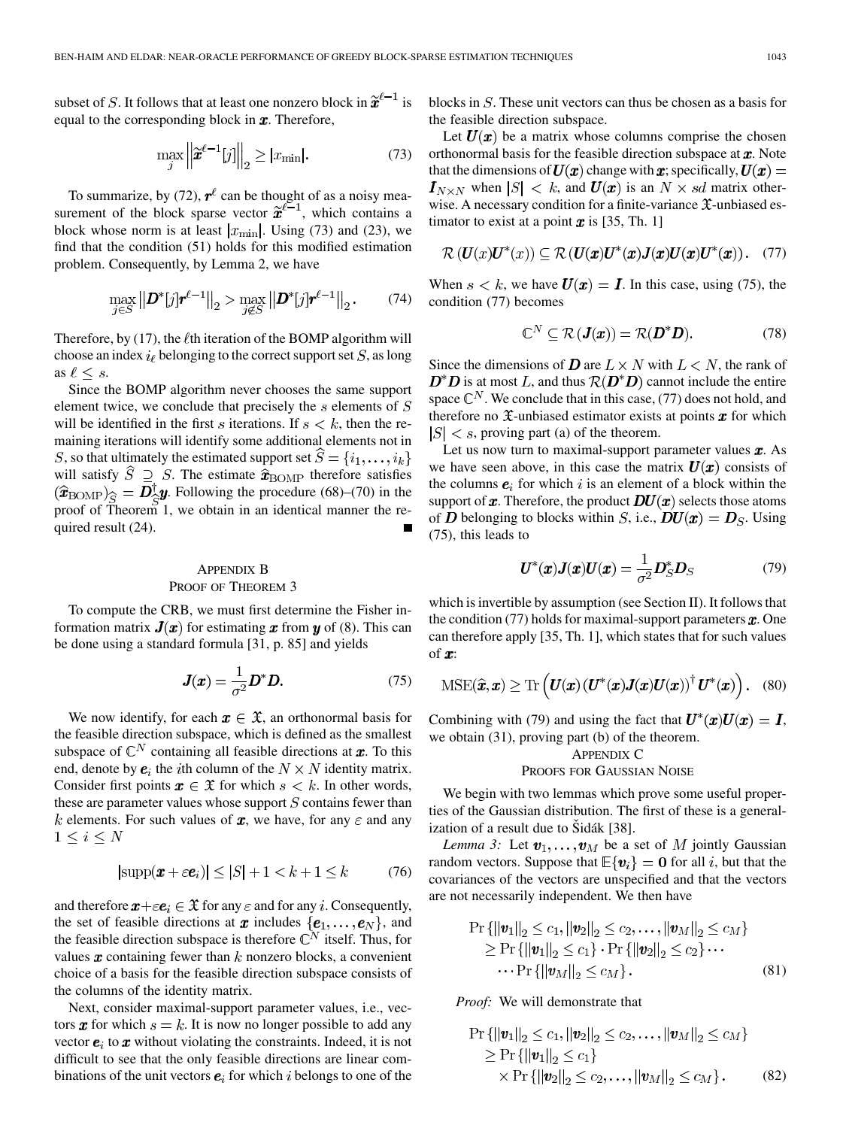subset of S. It follows that at least one nonzero block in  $\widetilde{\mathfrak{X}}^{\ell-1}$  is equal to the corresponding block in  $x$ . Therefore,

$$
\max_{j} \left\| \widetilde{\mathbf{x}}^{\ell-1}[j] \right\|_{2} \geq |x_{\min}|. \tag{73}
$$

To summarize, by (72),  $r^{\ell}$  can be thought of as a noisy measurement of the block sparse vector  $\tilde{\boldsymbol{x}}^{\ell-1}$ , which contains a block whose norm is at least  $|x_{\text{min}}|$ . Using (73) and (23), we find that the condition (51) holds for this modified estimation problem. Consequently, by Lemma 2, we have

$$
\max_{j \in S} \left\| \boldsymbol{D}^* [j] \boldsymbol{r}^{\ell-1} \right\|_2 > \max_{j \notin S} \left\| \boldsymbol{D}^* [j] \boldsymbol{r}^{\ell-1} \right\|_2. \tag{74}
$$

Therefore, by  $(17)$ , the  $\ell$ th iteration of the BOMP algorithm will choose an index  $i_\ell$  belonging to the correct support set S, as long as  $\ell \leq s$ .

Since the BOMP algorithm never chooses the same support element twice, we conclude that precisely the  $s$  elements of  $S$ will be identified in the first s iterations. If  $s < k$ , then the remaining iterations will identify some additional elements not in S, so that ultimately the estimated support set  $\widehat{S} = \{i_1, \ldots, i_k\}$ will satisfy  $\hat{S} \supseteq S$ . The estimate  $\hat{x}_{\text{BOMP}}$  therefore satisfies  $(\hat{\pmb{x}}_{\text{BOMP}})_{\hat{\pmb{\varsigma}}} = \pmb{D}_{\hat{\pmb{\varsigma}}}^{\dagger} \pmb{y}$ . Following the procedure (68)–(70) in the proof of Theorem 1, we obtain in an identical manner the required result (24).

# APPENDIX B PROOF OF THEOREM 3

To compute the CRB, we must first determine the Fisher information matrix  $\bm{J}(\bm{x})$  for estimating  $\bm{x}$  from  $\bm{y}$  of (8). This can be done using a standard formula [31, p. 85] and yields

$$
J(x) = \frac{1}{\sigma^2} D^* D. \tag{75}
$$

We now identify, for each  $x \in \mathfrak{X}$ , an orthonormal basis for the feasible direction subspace, which is defined as the smallest subspace of  $\mathbb{C}^N$  containing all feasible directions at  $\pmb{x}$ . To this end, denote by  $e_i$  the *i*th column of the  $N \times N$  identity matrix. Consider first points  $\boldsymbol{x} \in \mathfrak{X}$  for which  $s < k$ . In other words, these are parameter values whose support  $S$  contains fewer than k elements. For such values of  $x$ , we have, for any  $\varepsilon$  and any  $1\leq i\leq N$ 

$$
|\text{supp}(\boldsymbol{x} + \varepsilon \boldsymbol{e}_i)| \le |S| + 1 < k + 1 \le k \tag{76}
$$

and therefore  $x + \varepsilon e_i \in \mathfrak{X}$  for any  $\varepsilon$  and for any i. Consequently, the set of feasible directions at x includes  $\{e_1, \ldots, e_N\}$ , and the feasible direction subspace is therefore  $\mathbb{C}^N$  itself. Thus, for values  $x$  containing fewer than  $k$  nonzero blocks, a convenient choice of a basis for the feasible direction subspace consists of the columns of the identity matrix.

Next, consider maximal-support parameter values, i.e., vectors  $\boldsymbol{x}$  for which  $s = k$ . It is now no longer possible to add any vector  $e_i$  to  $x$  without violating the constraints. Indeed, it is not difficult to see that the only feasible directions are linear combinations of the unit vectors  $e_i$  for which i belongs to one of the blocks in  $S$ . These unit vectors can thus be chosen as a basis for the feasible direction subspace.

Let  $U(x)$  be a matrix whose columns comprise the chosen orthonormal basis for the feasible direction subspace at  $x$ . Note that the dimensions of  $U(x)$  change with x; specifically,  $U(x) =$  $I_{N \times N}$  when  $|S| < k$ , and  $U(x)$  is an  $N \times sd$  matrix otherwise. A necessary condition for a finite-variance  $\mathfrak{X}\text{-unbiased}$  estimator to exist at a point  $\boldsymbol{x}$  is [35, Th. 1]

$$
\mathcal{R}\left(\boldsymbol{U}(x)\boldsymbol{U}^{*}(x)\right) \subseteq \mathcal{R}\left(\boldsymbol{U}(x)\boldsymbol{U}^{*}(x)\boldsymbol{J}(x)\boldsymbol{U}(x)\boldsymbol{U}^{*}(x)\right). \quad (77)
$$

When  $s < k$ , we have  $\mathbf{U}(\mathbf{x}) = \mathbf{I}$ . In this case, using (75), the condition (77) becomes

$$
\mathbb{C}^N \subseteq \mathcal{R}(\boldsymbol{J}(\boldsymbol{x})) = \mathcal{R}(\boldsymbol{D}^* \boldsymbol{D}). \tag{78}
$$

Since the dimensions of D are  $L \times N$  with  $L < N$ , the rank of  $\mathbf{D}^* \mathbf{D}$  is at most L, and thus  $\mathcal{R}(\mathbf{D}^* \mathbf{D})$  cannot include the entire space  $\mathbb{C}^N$ . We conclude that in this case, (77) does not hold, and therefore no  $\mathfrak X$ -unbiased estimator exists at points  $\boldsymbol x$  for which  $|S| < s$ , proving part (a) of the theorem.

Let us now turn to maximal-support parameter values  $x$ . As we have seen above, in this case the matrix  $U(x)$  consists of the columns  $e_i$  for which i is an element of a block within the support of  $\boldsymbol{x}$ . Therefore, the product  $\boldsymbol{DU}(\boldsymbol{x})$  selects those atoms of **D** belonging to blocks within S, i.e.,  $DU(x) = D<sub>S</sub>$ . Using (75), this leads to

$$
\boldsymbol{U}^*(\boldsymbol{x})\boldsymbol{J}(\boldsymbol{x})\boldsymbol{U}(\boldsymbol{x}) = \frac{1}{\sigma^2}\boldsymbol{D}_S^*\boldsymbol{D}_S\tag{79}
$$

which is invertible by assumption (see Section II). It follows that the condition (77) holds for maximal-support parameters  $\boldsymbol{x}$ . One can therefore apply [35, Th. 1], which states that for such values of  $\boldsymbol{x}$ :

$$
\mathrm{MSE}(\hat{\pmb{x}}, \pmb{x}) \geq \mathrm{Tr}\left(\pmb{U}(\pmb{x})\left(\pmb{U}^*(\pmb{x})\pmb{J}(\pmb{x})\pmb{U}(\pmb{x})\right)^{\dagger}\pmb{U}^*(\pmb{x})\right). \tag{80}
$$

Combining with (79) and using the fact that  $U^*(x)U(x) = I$ , we obtain (31), proving part (b) of the theorem.

# APPENDIX C PROOFS FOR GAUSSIAN NOISE

We begin with two lemmas which prove some useful properties of the Gaussian distribution. The first of these is a generalization of a result due to Sidák  $[38]$ .

*Lemma 3:* Let  $v_1, \ldots, v_M$  be a set of M jointly Gaussian random vectors. Suppose that  $E\{\mathbf{v}_i\} = \mathbf{0}$  for all i, but that the covariances of the vectors are unspecified and that the vectors are not necessarily independent. We then have

$$
\Pr\left\{ \|\bm{v}_1\|_2 \le c_1, \|\bm{v}_2\|_2 \le c_2, \dots, \|\bm{v}_M\|_2 \le c_M \right\} \ge \Pr\left\{ \|\bm{v}_1\|_2 \le c_1 \right\} \cdot \Pr\left\{ \|\bm{v}_2\|_2 \le c_2 \right\} \cdots \cdots \Pr\left\{ \|\bm{v}_M\|_2 \le c_M \right\}.
$$
\n(81)

*Proof:* We will demonstrate that

$$
\Pr\left\{ \|\bm{v}_{1}\|_{2} \leq c_{1}, \|\bm{v}_{2}\|_{2} \leq c_{2}, \ldots, \|\bm{v}_{M}\|_{2} \leq c_{M} \right\} \geq \Pr\left\{ \|\bm{v}_{1}\|_{2} \leq c_{1} \right\} \times \Pr\left\{ \|\bm{v}_{2}\|_{2} \leq c_{2}, \ldots, \|\bm{v}_{M}\|_{2} \leq c_{M} \right\}.
$$
\n(82)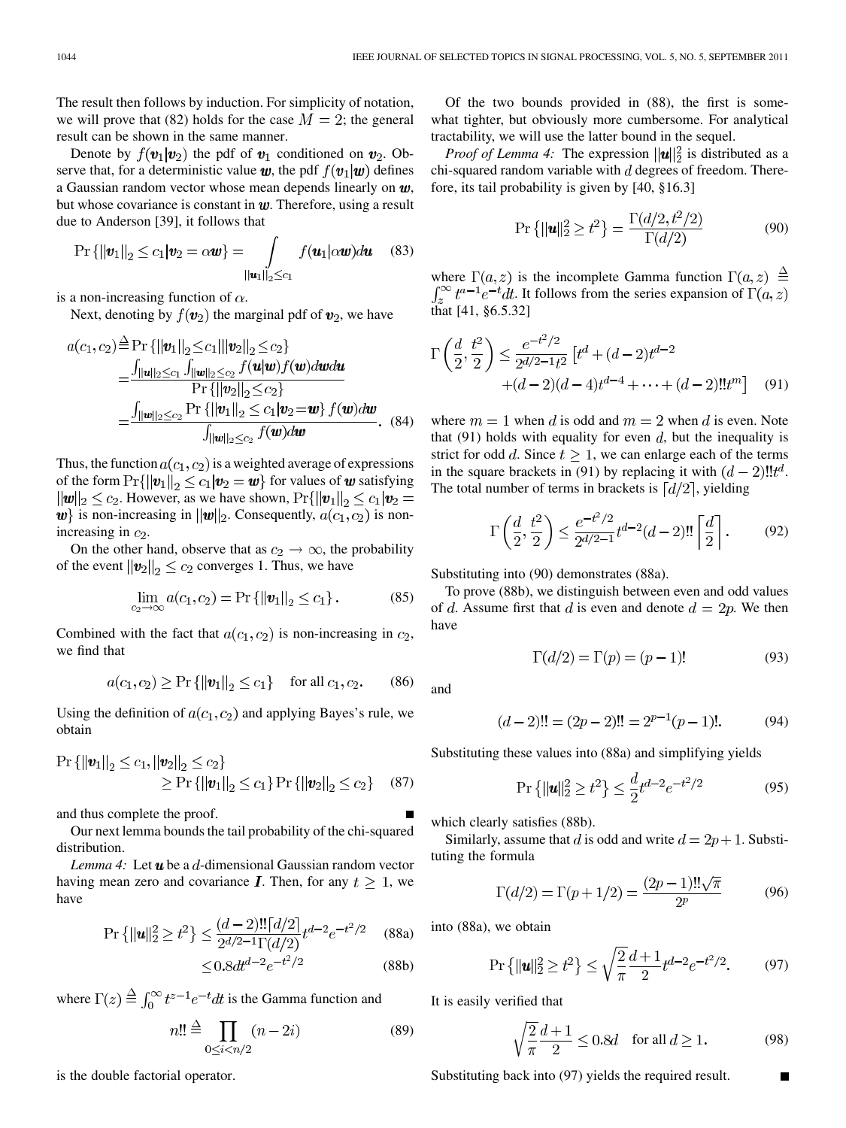The result then follows by induction. For simplicity of notation, we will prove that (82) holds for the case  $M = 2$ ; the general result can be shown in the same manner.

Denote by  $f(\mathbf{v}_1|\mathbf{v}_2)$  the pdf of  $\mathbf{v}_1$  conditioned on  $\mathbf{v}_2$ . Observe that, for a deterministic value  $w$ , the pdf  $f(\boldsymbol{v}_1|\boldsymbol{w})$  defines a Gaussian random vector whose mean depends linearly on  $w$ , but whose covariance is constant in  $w$ . Therefore, using a result due to Anderson [39], it follows that

$$
\Pr\left\{\left\|\boldsymbol{v}_1\right\|_2 \leq c_1 |\boldsymbol{v}_2 = \alpha \boldsymbol{w}\right\} = \int\limits_{\left\|\boldsymbol{u}_1\right\|_2 \leq c_1} f(\boldsymbol{u}_1|\alpha \boldsymbol{w}) d\boldsymbol{u} \quad (83)
$$

is a non-increasing function of  $\alpha$ .

Next, denoting by  $f(\mathbf{v}_2)$  the marginal pdf of  $\mathbf{v}_2$ , we have

$$
a(c_1, c_2) \stackrel{\triangleq}{=} \Pr\left\{ ||\mathbf{v}_1||_2 \le c_1 |||\mathbf{v}_2||_2 \le c_2 \right\}
$$
  
= 
$$
\frac{\int_{||\mathbf{u}||_2 \le c_1} \int_{||\mathbf{w}||_2 \le c_2} f(\mathbf{u}|\mathbf{w}) f(\mathbf{w}) d\mathbf{w} d\mathbf{u}}{\Pr\left\{ ||\mathbf{v}_2||_2 \le c_2 \right\}}
$$
  
= 
$$
\frac{\int_{||\mathbf{w}||_2 \le c_2} \Pr\left\{ ||\mathbf{v}_1||_2 \le c_1 |\mathbf{v}_2 = \mathbf{w} \right\} f(\mathbf{w}) d\mathbf{w}}{\int_{||\mathbf{w}||_2 \le c_2} f(\mathbf{w}) d\mathbf{w}}.
$$
(84)

Thus, the function  $a(c_1, c_2)$  is a weighted average of expressions of the form  $Pr\{\|\mathbf{v}_1\|_2 \le c_1 |\mathbf{v}_2 = \mathbf{w}\}\$ for values of  $\mathbf{w}$  satisfying  $\|\mathbf{w}\|_2 \leq c_2$ . However, as we have shown,  $\Pr\{\|\mathbf{v}_1\|_2 \leq c_1 |\mathbf{v}_2 =$  $w$ } is non-increasing in  $||w||_2$ . Consequently,  $a(c_1, c_2)$  is nonincreasing in  $c_2$ .

On the other hand, observe that as  $c_2 \to \infty$ , the probability of the event  $\|\boldsymbol{v}_2\|_2 \leq c_2$  converges 1. Thus, we have

$$
\lim_{c_2 \to \infty} a(c_1, c_2) = \Pr\left\{ ||\bm{v}_1||_2 \le c_1 \right\}.
$$
 (85)

Combined with the fact that  $a(c_1, c_2)$  is non-increasing in  $c_2$ , we find that

$$
a(c_1, c_2) \ge \Pr\left\{ ||\mathbf{v}_1||_2 \le c_1 \right\}
$$
 for all  $c_1, c_2$ . (86)

Using the definition of  $a(c_1, c_2)$  and applying Bayes's rule, we obtain

$$
\Pr\left\{ \left\| \bm{v}_{1} \right\|_{2} \leq c_{1}, \left\| \bm{v}_{2} \right\|_{2} \leq c_{2} \right\} \geq \Pr\left\{ \left\| \bm{v}_{1} \right\|_{2} \leq c_{1} \right\} \Pr\left\{ \left\| \bm{v}_{2} \right\|_{2} \leq c_{2} \right\}
$$
(87)

and thus complete the proof.

Our next lemma bounds the tail probability of the chi-squared distribution.

*Lemma 4:* Let  $\boldsymbol{u}$  be a  $d$ -dimensional Gaussian random vector having mean zero and covariance  $\boldsymbol{I}$ . Then, for any  $t \geq 1$ , we have

$$
\Pr\left\{||\mathbf{u}||_2^2 \ge t^2\right\} \le \frac{(d-2)!!\,[d/2]}{2^{d/2-1}\Gamma(d/2)} t^{d-2} e^{-t^2/2} \tag{88a}
$$
\n
$$
\le 0.8 dt^{d-2} e^{-t^2/2} \tag{88b}
$$

where  $\Gamma(z) \stackrel{\Delta}{=} \int_0^\infty t^{z-1} e^{-t} dt$  is the Gamma function and

$$
n!! \stackrel{\triangle}{=} \prod_{0 \le i < n/2} (n - 2i) \tag{89}
$$

is the double factorial operator.

Of the two bounds provided in (88), the first is somewhat tighter, but obviously more cumbersome. For analytical tractability, we will use the latter bound in the sequel.

*Proof of Lemma 4:* The expression  $\|\mathbf{u}\|_2^2$  is distributed as a chi-squared random variable with  $d$  degrees of freedom. Therefore, its tail probability is given by [40, §16.3]

$$
\Pr\left\{||\mathbf{u}||_2^2 \ge t^2\right\} = \frac{\Gamma(d/2, t^2/2)}{\Gamma(d/2)}\tag{90}
$$

where  $\Gamma(a, z)$  is the incomplete Gamma function  $\Gamma(a, z) \triangleq$  $\int_{z}^{\infty} t^{a-1} e^{-t} dt$ . It follows from the series expansion of  $\Gamma(a,z)$ that [41, §6.5.32]

$$
\Gamma\left(\frac{d}{2},\frac{t^2}{2}\right) \le \frac{e^{-t^2/2}}{2^{d/2-1}t^2} \left[t^d + (d-2)t^{d-2} + (d-2)(d-4)t^{d-4} + \dots + (d-2)!!t^m\right]
$$
(91)

where  $m = 1$  when d is odd and  $m = 2$  when d is even. Note that (91) holds with equality for even  $d$ , but the inequality is strict for odd d. Since  $t \geq 1$ , we can enlarge each of the terms in the square brackets in (91) by replacing it with  $(d-2)!t^d$ . The total number of terms in brackets is  $\lceil d/2 \rceil$ , yielding

$$
\Gamma\left(\frac{d}{2},\frac{t^2}{2}\right) \le \frac{e^{-t^2/2}}{2^{d/2-1}} t^{d-2} (d-2)!! \left\lceil \frac{d}{2} \right\rceil. \tag{92}
$$

Substituting into (90) demonstrates (88a).

To prove (88b), we distinguish between even and odd values of d. Assume first that d is even and denote  $d = 2p$ . We then have

$$
\Gamma(d/2) = \Gamma(p) = (p-1)! \tag{93}
$$

and

$$
(d-2)!! = (2p-2)!! = 2^{p-1}(p-1)!. \tag{94}
$$

Substituting these values into (88a) and simplifying yields

$$
\Pr\left\{ \|\mathbf{u}\|_{2}^{2} \geq t^{2} \right\} \leq \frac{d}{2} t^{d-2} e^{-t^{2}/2} \tag{95}
$$

which clearly satisfies (88b).

Similarly, assume that d is odd and write  $d = 2p + 1$ . Substituting the formula

$$
\Gamma(d/2) = \Gamma(p + 1/2) = \frac{(2p - 1)!!\sqrt{\pi}}{2^p} \tag{96}
$$

into (88a), we obtain

$$
\Pr\left\{ \|\mathbf{u}\|_{2}^{2} \geq t^{2} \right\} \leq \sqrt{\frac{2}{\pi}} \frac{d+1}{2} t^{d-2} e^{-t^{2}/2}.
$$
 (97)

It is easily verified that

$$
\sqrt{\frac{2}{\pi}} \frac{d+1}{2} \le 0.8d \quad \text{for all } d \ge 1.
$$
 (98)

П

Substituting back into (97) yields the required result.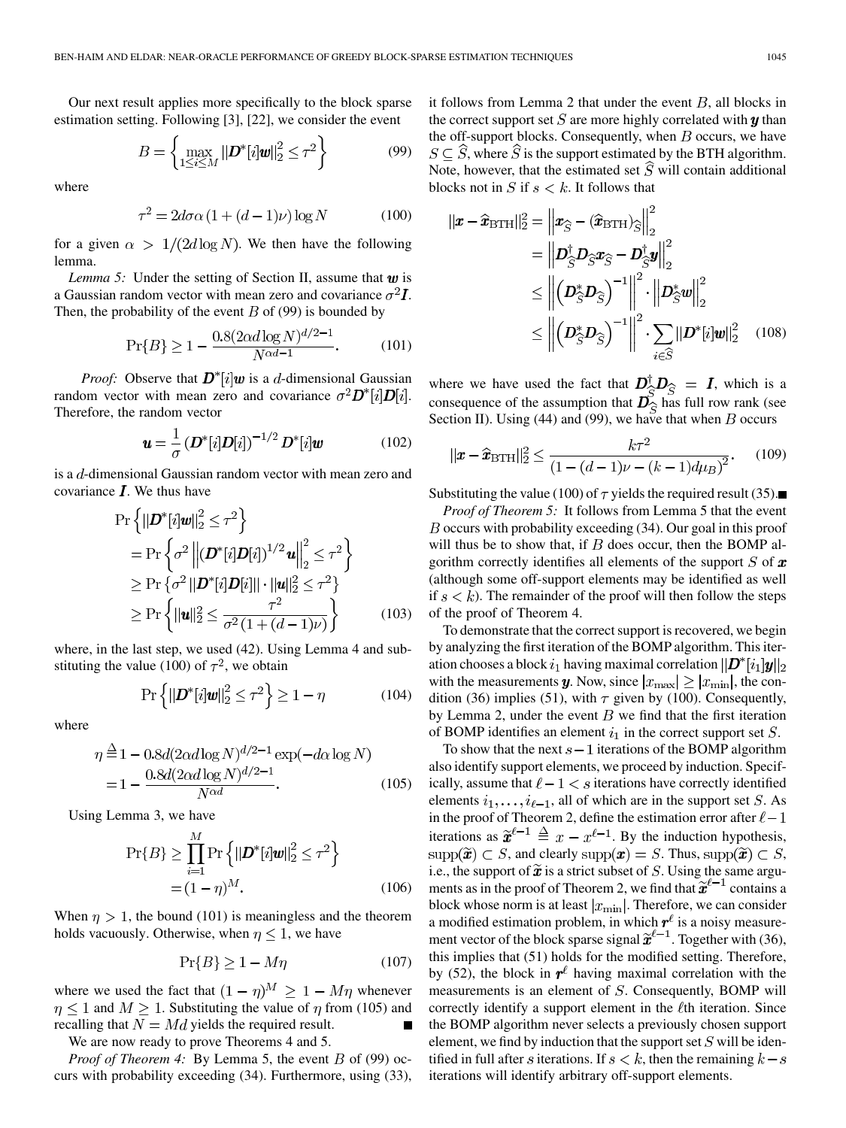Our next result applies more specifically to the block sparse estimation setting. Following [3], [22], we consider the event

$$
B = \left\{ \max_{1 \le i \le M} \left\| \boldsymbol{D}^* [i] \boldsymbol{w} \right\|_2^2 \le \tau^2 \right\} \tag{99}
$$

where

$$
\tau^2 = 2d\sigma\alpha \left(1 + (d-1)\nu\right) \log N \tag{100}
$$

for a given  $\alpha > 1/(2d \log N)$ . We then have the following lemma.

*Lemma 5:* Under the setting of Section II, assume that  $w$  is a Gaussian random vector with mean zero and covariance  $\sigma^2 I$ . Then, the probability of the event  $B$  of (99) is bounded by

$$
\Pr\{B\} \ge 1 - \frac{0.8(2\alpha d \log N)^{d/2 - 1}}{N^{\alpha d - 1}}.\tag{101}
$$

*Proof:* Observe that  $\mathbf{D}^*[\mathbf{i}] \mathbf{w}$  is a d-dimensional Gaussian random vector with mean zero and covariance  $\sigma^2 \mathbf{D}^* [i] \mathbf{D}[i]$ . Therefore, the random vector

$$
\boldsymbol{u} = \frac{1}{\sigma} \left( \boldsymbol{D}^* [i] \boldsymbol{D} [i] \right)^{-1/2} \boldsymbol{D}^* [i] \boldsymbol{w} \tag{102}
$$

is a  $d$ -dimensional Gaussian random vector with mean zero and covariance  $I$ . We thus have

$$
\Pr\left\{ \|\bm{D}^*[\mathit{i}]\bm{w}\|_2^2 \leq \tau^2 \right\} \n= \Pr\left\{ \sigma^2 \left\| (\bm{D}^*[\mathit{i}]\bm{D}[\mathit{i}])^{1/2} \bm{u} \right\|_2^2 \leq \tau^2 \right\} \n\geq \Pr\left\{ \sigma^2 \|\bm{D}^*[\mathit{i}]\bm{D}[\mathit{i}]\| \cdot \|\bm{u}\|_2^2 \leq \tau^2 \right\} \n\geq \Pr\left\{ \|\bm{u}\|_2^2 \leq \frac{\tau^2}{\sigma^2 (1 + (d-1)\nu)} \right\}
$$
\n(103)

where, in the last step, we used (42). Using Lemma 4 and substituting the value (100) of  $\tau^2$ , we obtain

$$
\Pr\left\{ \left\| \boldsymbol{D}^*[\boldsymbol{i}] \boldsymbol{w} \right\|_2^2 \leq \tau^2 \right\} \geq 1 - \eta \tag{104}
$$

where

$$
\eta \stackrel{\Delta}{=} 1 - 0.8d(2\alpha d \log N)^{d/2 - 1} \exp(-d\alpha \log N)
$$
  
= 
$$
1 - \frac{0.8d(2\alpha d \log N)^{d/2 - 1}}{N^{\alpha d}}.
$$
 (105)

Using Lemma 3, we have

$$
\Pr\{B\} \ge \prod_{i=1}^{M} \Pr\left\{ \|\mathbf{D}^*[i] \mathbf{w} \|^2_2 \le \tau^2 \right\} = (1 - \eta)^M.
$$
 (106)

When  $\eta > 1$ , the bound (101) is meaningless and the theorem holds vacuously. Otherwise, when  $\eta \leq 1$ , we have

$$
\Pr\{B\} \ge 1 - M\eta \tag{107}
$$

where we used the fact that  $(1 - \eta)^M \geq 1 - M\eta$  whenever  $\eta \leq 1$  and  $M \geq 1$ . Substituting the value of  $\eta$  from (105) and recalling that  $N = Md$  yields the required result.

We are now ready to prove Theorems 4 and 5.

*Proof of Theorem 4:* By Lemma 5, the event  $B$  of (99) occurs with probability exceeding (34). Furthermore, using (33), it follows from Lemma 2 that under the event  $B$ , all blocks in the correct support set  $S$  are more highly correlated with  $y$  than the off-support blocks. Consequently, when  $B$  occurs, we have  $S \subseteq \widehat{S}$ , where  $\widehat{S}$  is the support estimated by the BTH algorithm. Note, however, that the estimated set  $\widehat{S}$  will contain additional blocks not in  $S$  if  $s < k$ . It follows that

$$
\|\boldsymbol{x} - \widehat{\boldsymbol{x}}_{\text{BTH}}\|_{2}^{2} = \left\|\boldsymbol{x}_{\widehat{S}} - (\widehat{\boldsymbol{x}}_{\text{BTH}})_{\widehat{S}}\right\|_{2}^{2}
$$

$$
= \left\|\boldsymbol{D}_{\widehat{S}}^{\dagger} \boldsymbol{D}_{\widehat{S}} \boldsymbol{x}_{\widehat{S}} - \boldsymbol{D}_{\widehat{S}}^{\dagger} \boldsymbol{y}\right\|_{2}^{2}
$$

$$
\leq \left\|\left(\boldsymbol{D}_{\widehat{S}}^{*} \boldsymbol{D}_{\widehat{S}}\right)^{-1}\right\|^{2} \cdot \left\|\boldsymbol{D}_{\widehat{S}}^{*} \boldsymbol{w}\right\|_{2}^{2}
$$

$$
\leq \left\|\left(\boldsymbol{D}_{\widehat{S}}^{*} \boldsymbol{D}_{\widehat{S}}\right)^{-1}\right\|^{2} \cdot \sum_{i \in \widehat{S}} \left\|\boldsymbol{D}^{*}[i] \boldsymbol{w}\right\|_{2}^{2} \quad (108)
$$

where we have used the fact that  $\mathbf{D}_{\odot}^{\dagger} \mathbf{D}_{\widehat{S}} = \mathbf{I}$ , which is a consequence of the assumption that  $\overrightarrow{D}_{\widehat{S}}$  has full row rank (see Section II). Using (44) and (99), we have that when  $B$  occurs

$$
\|\mathbf{x} - \hat{\mathbf{x}}_{\text{BTH}}\|_{2}^{2} \le \frac{k\tau^{2}}{(1 - (d - 1)\nu - (k - 1)d\mu_{B})^{2}}.
$$
 (109)

Substituting the value (100) of  $\tau$  yields the required result (35).

*Proof of Theorem 5:* It follows from Lemma 5 that the event  $B$  occurs with probability exceeding  $(34)$ . Our goal in this proof will thus be to show that, if  $B$  does occur, then the BOMP algorithm correctly identifies all elements of the support  $S$  of  $\boldsymbol{x}$ (although some off-support elements may be identified as well if  $s < k$ ). The remainder of the proof will then follow the steps of the proof of Theorem 4.

To demonstrate that the correct support is recovered, we begin by analyzing the first iteration of the BOMP algorithm. This iteration chooses a block  $i_1$  having maximal correlation  $||\boldsymbol{D}^*[i_1] \boldsymbol{y}||_2$ with the measurements **y**. Now, since  $|x_{\text{max}}| \geq |x_{\text{min}}|$ , the condition (36) implies (51), with  $\tau$  given by (100). Consequently, by Lemma 2, under the event  $B$  we find that the first iteration of BOMP identifies an element  $i_1$  in the correct support set S.

To show that the next  $s-1$  iterations of the BOMP algorithm also identify support elements, we proceed by induction. Specifically, assume that  $\ell - 1 < s$  iterations have correctly identified elements  $i_1, \ldots, i_{\ell-1}$ , all of which are in the support set S. As in the proof of Theorem 2, define the estimation error after  $\ell - 1$ iterations as  $\tilde{\boldsymbol{x}}^{\ell-1} \triangleq x - x^{\ell-1}$ . By the induction hypothesis,  $\text{supp}(\widetilde{\boldsymbol{x}}) \subset S$ , and clearly  $\text{supp}(\boldsymbol{x}) = S$ . Thus,  $\text{supp}(\widetilde{\boldsymbol{x}}) \subset S$ , i.e., the support of  $\tilde{\mathbf{x}}$  is a strict subset of S. Using the same arguments as in the proof of Theorem 2, we find that  $\tilde{\boldsymbol{x}}^{t-1}$  contains a block whose norm is at least  $|x_{\text{min}}|$ . Therefore, we can consider a modified estimation problem, in which  $r^{\ell}$  is a noisy measurement vector of the block sparse signal  $\widetilde{\mathbf{a}}^{t-1}$ . Together with (36), this implies that (51) holds for the modified setting. Therefore, by (52), the block in  $r^{\ell}$  having maximal correlation with the measurements is an element of  $S$ . Consequently, BOMP will correctly identify a support element in the  $\ell$ th iteration. Since the BOMP algorithm never selects a previously chosen support element, we find by induction that the support set  $S$  will be identified in full after s iterations. If  $s < k$ , then the remaining  $k - s$ iterations will identify arbitrary off-support elements.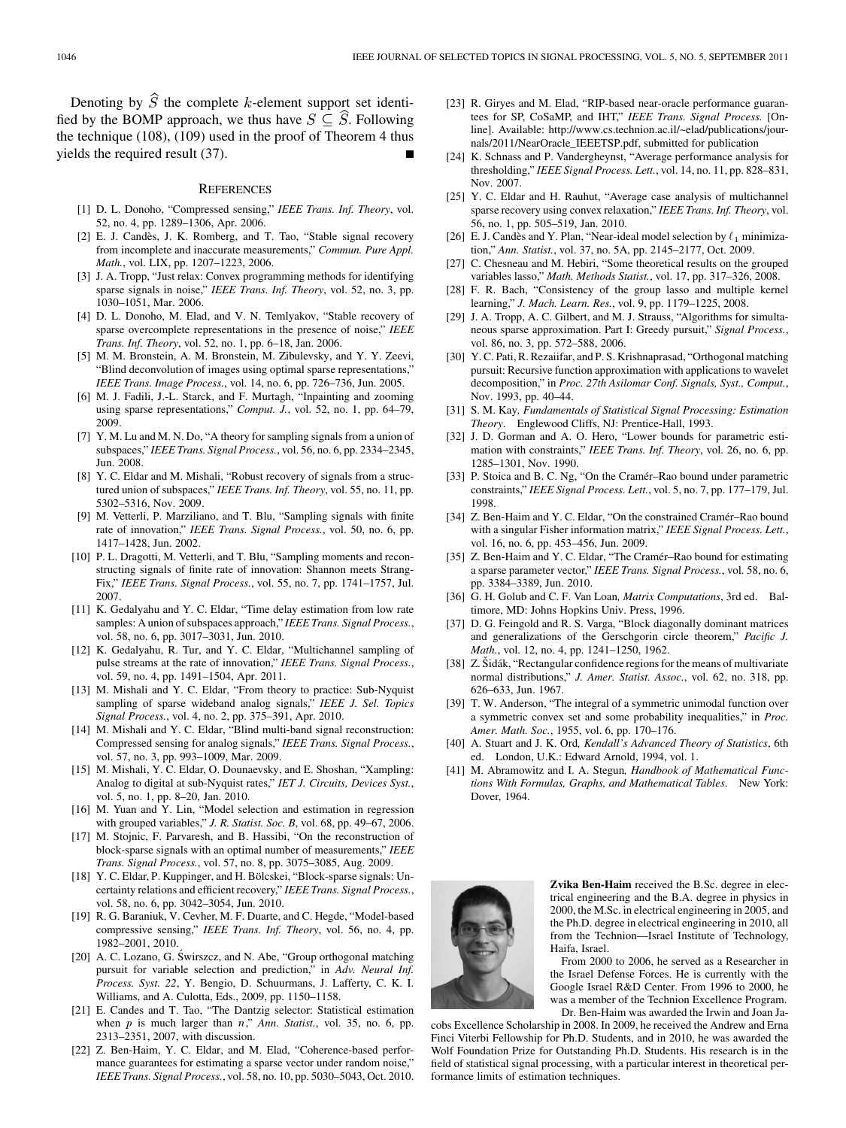Denoting by  $\widehat{S}$  the complete k-element support set identified by the BOMP approach, we thus have  $S \subseteq \widehat{S}$ . Following the technique (108), (109) used in the proof of Theorem 4 thus yields the required result (37).

### **REFERENCES**

- [1] D. L. Donoho, "Compressed sensing," *IEEE Trans. Inf. Theory*, vol. 52, no. 4, pp. 1289–1306, Apr. 2006.
- [2] E. J. Candès, J. K. Romberg, and T. Tao, "Stable signal recovery from incomplete and inaccurate measurements," *Commun. Pure Appl. Math.*, vol. LIX, pp. 1207–1223, 2006.
- [3] J. A. Tropp, "Just relax: Convex programming methods for identifying sparse signals in noise," *IEEE Trans. Inf. Theory*, vol. 52, no. 3, pp. 1030–1051, Mar. 2006.
- [4] D. L. Donoho, M. Elad, and V. N. Temlyakov, "Stable recovery of sparse overcomplete representations in the presence of noise," *IEEE Trans. Inf. Theory*, vol. 52, no. 1, pp. 6–18, Jan. 2006.
- [5] M. M. Bronstein, A. M. Bronstein, M. Zibulevsky, and Y. Y. Zeevi, "Blind deconvolution of images using optimal sparse representations," *IEEE Trans. Image Process.*, vol. 14, no. 6, pp. 726–736, Jun. 2005.
- [6] M. J. Fadili, J.-L. Starck, and F. Murtagh, "Inpainting and zooming using sparse representations," *Comput. J.*, vol. 52, no. 1, pp. 64–79, 2009.
- [7] Y. M. Lu and M. N. Do, "A theory for sampling signals from a union of subspaces," *IEEE Trans. Signal Process.*, vol. 56, no. 6, pp. 2334–2345, Jun. 2008.
- [8] Y. C. Eldar and M. Mishali, "Robust recovery of signals from a structured union of subspaces," *IEEE Trans. Inf. Theory*, vol. 55, no. 11, pp. 5302–5316, Nov. 2009.
- [9] M. Vetterli, P. Marziliano, and T. Blu, "Sampling signals with finite rate of innovation," *IEEE Trans. Signal Process.*, vol. 50, no. 6, pp. 1417–1428, Jun. 2002.
- [10] P. L. Dragotti, M. Vetterli, and T. Blu, "Sampling moments and reconstructing signals of finite rate of innovation: Shannon meets Strang-Fix," *IEEE Trans. Signal Process.*, vol. 55, no. 7, pp. 1741–1757, Jul. 2007.
- [11] K. Gedalyahu and Y. C. Eldar, "Time delay estimation from low rate samples: A union of subspaces approach," *IEEE Trans. Signal Process.*, vol. 58, no. 6, pp. 3017–3031, Jun. 2010.
- [12] K. Gedalyahu, R. Tur, and Y. C. Eldar, "Multichannel sampling of pulse streams at the rate of innovation," *IEEE Trans. Signal Process.*, vol. 59, no. 4, pp. 1491–1504, Apr. 2011.
- [13] M. Mishali and Y. C. Eldar, "From theory to practice: Sub-Nyquist sampling of sparse wideband analog signals," *IEEE J. Sel. Topics Signal Process.*, vol. 4, no. 2, pp. 375–391, Apr. 2010.
- [14] M. Mishali and Y. C. Eldar, "Blind multi-band signal reconstruction: Compressed sensing for analog signals," *IEEE Trans. Signal Process.*, vol. 57, no. 3, pp. 993–1009, Mar. 2009.
- [15] M. Mishali, Y. C. Eldar, O. Dounaevsky, and E. Shoshan, "Xampling: Analog to digital at sub-Nyquist rates," *IET J. Circuits, Devices Syst.*, vol. 5, no. 1, pp. 8–20, Jan. 2010.
- [16] M. Yuan and Y. Lin, "Model selection and estimation in regression with grouped variables," *J. R. Statist. Soc. B*, vol. 68, pp. 49–67, 2006.
- [17] M. Stojnic, F. Parvaresh, and B. Hassibi, "On the reconstruction of block-sparse signals with an optimal number of measurements," *IEEE Trans. Signal Process.*, vol. 57, no. 8, pp. 3075–3085, Aug. 2009.
- [18] Y. C. Eldar, P. Kuppinger, and H. Bölcskei, "Block-sparse signals: Uncertainty relations and efficient recovery," *IEEE Trans. Signal Process.*, vol. 58, no. 6, pp. 3042–3054, Jun. 2010.
- [19] R. G. Baraniuk, V. Cevher, M. F. Duarte, and C. Hegde, "Model-based compressive sensing," *IEEE Trans. Inf. Theory*, vol. 56, no. 4, pp. 1982–2001, 2010.
- [20] A. C. Lozano, G. Świrszcz, and N. Abe, "Group orthogonal matching pursuit for variable selection and prediction," in *Adv. Neural Inf. Process. Syst. 22*, Y. Bengio, D. Schuurmans, J. Lafferty, C. K. I. Williams, and A. Culotta, Eds., 2009, pp. 1150–1158.
- [21] E. Candes and T. Tao, "The Dantzig selector: Statistical estimation when  $p$  is much larger than  $n$ ," *Ann. Statist.*, vol. 35, no. 6, pp. 2313–2351, 2007, with discussion.
- [22] Z. Ben-Haim, Y. C. Eldar, and M. Elad, "Coherence-based performance guarantees for estimating a sparse vector under random noise," *IEEE Trans. Signal Process.*, vol. 58, no. 10, pp. 5030–5043, Oct. 2010.
- [23] R. Giryes and M. Elad, "RIP-based near-oracle performance guarantees for SP, CoSaMP, and IHT," *IEEE Trans. Signal Process.* [Online]. Available: http://www.cs.technion.ac.il/~elad/publications/journals/2011/NearOracle\_IEEETSP.pdf, submitted for publication
- [24] K. Schnass and P. Vandergheynst, "Average performance analysis for thresholding," *IEEE Signal Process. Lett.*, vol. 14, no. 11, pp. 828–831, Nov. 2007.
- [25] Y. C. Eldar and H. Rauhut, "Average case analysis of multichannel sparse recovery using convex relaxation," *IEEE Trans. Inf. Theory*, vol. 56, no. 1, pp. 505–519, Jan. 2010.
- [26] E. J. Candès and Y. Plan, "Near-ideal model selection by  $\ell_1$  minimization," *Ann. Statist.*, vol. 37, no. 5A, pp. 2145–2177, Oct. 2009.
- [27] C. Chesneau and M. Hebiri, "Some theoretical results on the grouped variables lasso," *Math. Methods Statist.*, vol. 17, pp. 317–326, 2008.
- [28] F. R. Bach, "Consistency of the group lasso and multiple kernel learning," *J. Mach. Learn. Res.*, vol. 9, pp. 1179–1225, 2008.
- [29] J. A. Tropp, A. C. Gilbert, and M. J. Strauss, "Algorithms for simultaneous sparse approximation. Part I: Greedy pursuit," *Signal Process.*, vol. 86, no. 3, pp. 572–588, 2006.
- [30] Y. C. Pati, R. Rezaiifar, and P. S. Krishnaprasad, "Orthogonal matching pursuit: Recursive function approximation with applications to wavelet decomposition," in *Proc. 27th Asilomar Conf. Signals, Syst., Comput.*, Nov. 1993, pp. 40–44.
- [31] S. M. Kay*, Fundamentals of Statistical Signal Processing: Estimation Theory*. Englewood Cliffs, NJ: Prentice-Hall, 1993.
- [32] J. D. Gorman and A. O. Hero, "Lower bounds for parametric estimation with constraints," *IEEE Trans. Inf. Theory*, vol. 26, no. 6, pp. 1285–1301, Nov. 1990.
- [33] P. Stoica and B. C. Ng, "On the Cramér–Rao bound under parametric constraints," *IEEE Signal Process. Lett.*, vol. 5, no. 7, pp. 177–179, Jul. 1998.
- [34] Z. Ben-Haim and Y. C. Eldar, "On the constrained Cramér–Rao bound with a singular Fisher information matrix," *IEEE Signal Process. Lett.*, vol. 16, no. 6, pp. 453–456, Jun. 2009.
- [35] Z. Ben-Haim and Y. C. Eldar, "The Cramér–Rao bound for estimating a sparse parameter vector," *IEEE Trans. Signal Process.*, vol. 58, no. 6, pp. 3384–3389, Jun. 2010.
- [36] G. H. Golub and C. F. Van Loan*, Matrix Computations*, 3rd ed. Baltimore, MD: Johns Hopkins Univ. Press, 1996.
- [37] D. G. Feingold and R. S. Varga, "Block diagonally dominant matrices and generalizations of the Gerschgorin circle theorem," *Pacific J. Math.*, vol. 12, no. 4, pp. 1241–1250, 1962.
- [38] Z. Sidák, "Rectangular confidence regions for the means of multivariate normal distributions," *J. Amer. Statist. Assoc.*, vol. 62, no. 318, pp. 626–633, Jun. 1967.
- [39] T. W. Anderson, "The integral of a symmetric unimodal function over a symmetric convex set and some probability inequalities," in *Proc. Amer. Math. Soc.*, 1955, vol. 6, pp. 170–176.
- [40] A. Stuart and J. K. Ord*, Kendall's Advanced Theory of Statistics*, 6th ed. London, U.K.: Edward Arnold, 1994, vol. 1.
- [41] M. Abramowitz and I. A. Stegun*, Handbook of Mathematical Functions With Formulas, Graphs, and Mathematical Tables*. New York: Dover, 1964.



**Zvika Ben-Haim** received the B.Sc. degree in electrical engineering and the B.A. degree in physics in 2000, the M.Sc. in electrical engineering in 2005, and the Ph.D. degree in electrical engineering in 2010, all from the Technion—Israel Institute of Technology, Haifa, Israel.

From 2000 to 2006, he served as a Researcher in the Israel Defense Forces. He is currently with the Google Israel R&D Center. From 1996 to 2000, he was a member of the Technion Excellence Program. Dr. Ben-Haim was awarded the Irwin and Joan Ja-

cobs Excellence Scholarship in 2008. In 2009, he received the Andrew and Erna Finci Viterbi Fellowship for Ph.D. Students, and in 2010, he was awarded the Wolf Foundation Prize for Outstanding Ph.D. Students. His research is in the field of statistical signal processing, with a particular interest in theoretical performance limits of estimation techniques.